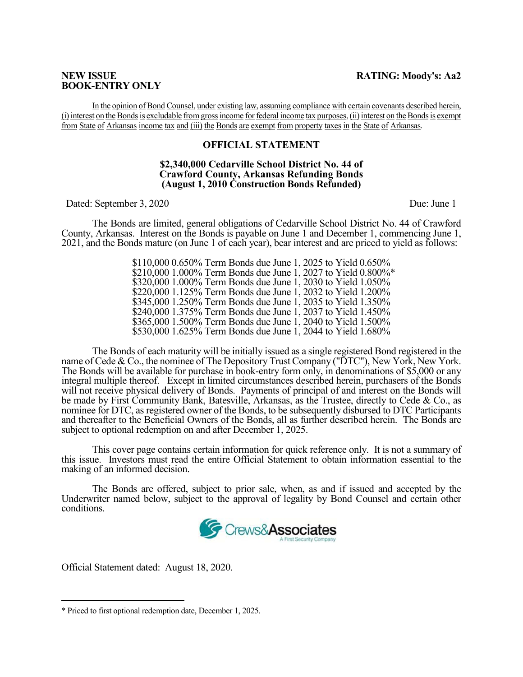# **BOOK-ENTRY ONLY**

In the opinion of Bond Counsel, under existing law, assuming compliance with certain covenants described herein, (i) interest on the Bonds is excludable from gross income for federal income tax purposes, (ii) interest on the Bonds is exempt from State of Arkansas income tax and (iii) the Bonds are exempt from property taxes in the State of Arkansas.

## **OFFICIAL STATEMENT**

#### **\$2,340,000 Cedarville School District No. 44 of Crawford County, Arkansas Refunding Bonds (August 1, 2010 Construction Bonds Refunded)**

Dated: September 3, 2020 Due: June 1

The Bonds are limited, general obligations of Cedarville School District No. 44 of Crawford County, Arkansas. Interest on the Bonds is payable on June 1 and December 1, commencing June 1, 2021, and the Bonds mature (on June 1 of each year), bear interest and are priced to yield as follows:

> \$110,000 0.650% Term Bonds due June 1, 2025 to Yield 0.650% \$210,000 1.000% Term Bonds due June 1, 2027 to Yield 0.800%\* \$320,000 1.000% Term Bonds due June 1, 2030 to Yield 1.050% \$220,000 1.125% Term Bonds due June 1, 2032 to Yield 1.200% \$345,000 1.250% Term Bonds due June 1, 2035 to Yield 1.350% \$240,000 1.375% Term Bonds due June 1, 2037 to Yield 1.450% \$365,000 1.500% Term Bonds due June 1, 2040 to Yield 1.500% \$530,000 1.625% Term Bonds due June 1, 2044 to Yield 1.680%

The Bonds of each maturity will be initially issued as a single registered Bond registered in the name of Cede & Co., the nominee of The Depository Trust Company ("DTC"), New York, New York. The Bonds will be available for purchase in book-entry form only, in denominations of \$5,000 or any integral multiple thereof. Except in limited circumstances described herein, purchasers of the Bonds will not receive physical delivery of Bonds. Payments of principal of and interest on the Bonds will be made by First Community Bank, Batesville, Arkansas, as the Trustee, directly to Cede & Co., as nominee for DTC, as registered owner of the Bonds, to be subsequently disbursed to DTC Participants and thereafter to the Beneficial Owners of the Bonds, all as further described herein. The Bonds are subject to optional redemption on and after December 1, 2025.

 This cover page contains certain information for quick reference only. It is not a summary of this issue. Investors must read the entire Official Statement to obtain information essential to the making of an informed decision.

The Bonds are offered, subject to prior sale, when, as and if issued and accepted by the Underwriter named below, subject to the approval of legality by Bond Counsel and certain other conditions.



Official Statement dated: August 18, 2020.

1

<sup>\*</sup> Priced to first optional redemption date, December 1, 2025.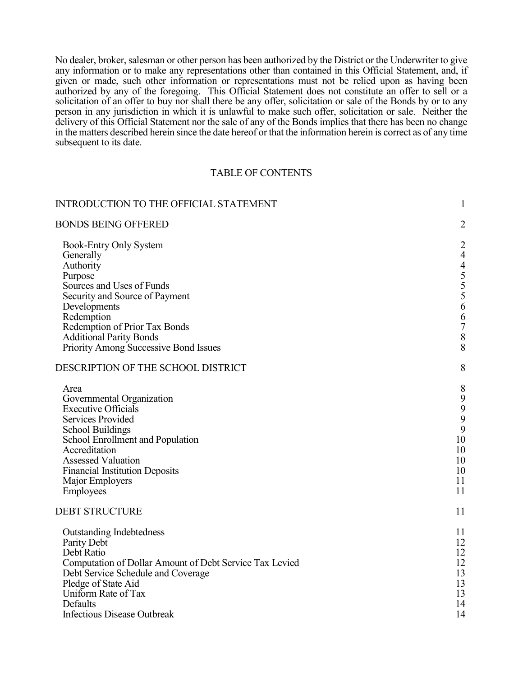No dealer, broker, salesman or other person has been authorized by the District or the Underwriter to give any information or to make any representations other than contained in this Official Statement, and, if given or made, such other information or representations must not be relied upon as having been authorized by any of the foregoing. This Official Statement does not constitute an offer to sell or a solicitation of an offer to buy nor shall there be any offer, solicitation or sale of the Bonds by or to any person in any jurisdiction in which it is unlawful to make such offer, solicitation or sale. Neither the delivery of this Official Statement nor the sale of any of the Bonds implies that there has been no change in the matters described herein since the date hereof or that the information herein is correct as of any time subsequent to its date.

#### TABLE OF CONTENTS

| <b>INTRODUCTION TO THE OFFICIAL STATEMENT</b>                                                   | $\mathbf{1}$                                             |
|-------------------------------------------------------------------------------------------------|----------------------------------------------------------|
| <b>BONDS BEING OFFERED</b>                                                                      | $\overline{2}$                                           |
| <b>Book-Entry Only System</b><br>Generally<br>Authority<br>Purpose<br>Sources and Uses of Funds | $\overline{c}$<br>$\overline{4}$<br>$455$<br>$55$<br>$6$ |
| Security and Source of Payment                                                                  |                                                          |
| Developments<br>Redemption                                                                      | 6                                                        |
| Redemption of Prior Tax Bonds                                                                   | $\overline{7}$                                           |
| <b>Additional Parity Bonds</b>                                                                  | $\,8\,$                                                  |
| <b>Priority Among Successive Bond Issues</b>                                                    | 8                                                        |
| DESCRIPTION OF THE SCHOOL DISTRICT                                                              | 8                                                        |
| Area                                                                                            | 8                                                        |
| Governmental Organization                                                                       | $\begin{array}{c} 9 \\ 9 \\ 9 \end{array}$               |
| <b>Executive Officials</b><br>Services Provided                                                 |                                                          |
| <b>School Buildings</b>                                                                         | $\mathbf{9}$                                             |
| School Enrollment and Population                                                                | 10                                                       |
| Accreditation                                                                                   | 10                                                       |
| <b>Assessed Valuation</b>                                                                       | 10                                                       |
| <b>Financial Institution Deposits</b>                                                           | 10                                                       |
| Major Employers<br>Employees                                                                    | 11<br>11                                                 |
| <b>DEBT STRUCTURE</b>                                                                           | 11                                                       |
|                                                                                                 |                                                          |
| <b>Outstanding Indebtedness</b>                                                                 | 11                                                       |
| Parity Debt                                                                                     | 12<br>12                                                 |
| Debt Ratio<br>Computation of Dollar Amount of Debt Service Tax Levied                           | 12                                                       |
| Debt Service Schedule and Coverage                                                              | 13                                                       |
| Pledge of State Aid                                                                             | 13                                                       |
| Uniform Rate of Tax                                                                             | 13                                                       |
| Defaults                                                                                        | 14                                                       |
| <b>Infectious Disease Outbreak</b>                                                              | 14                                                       |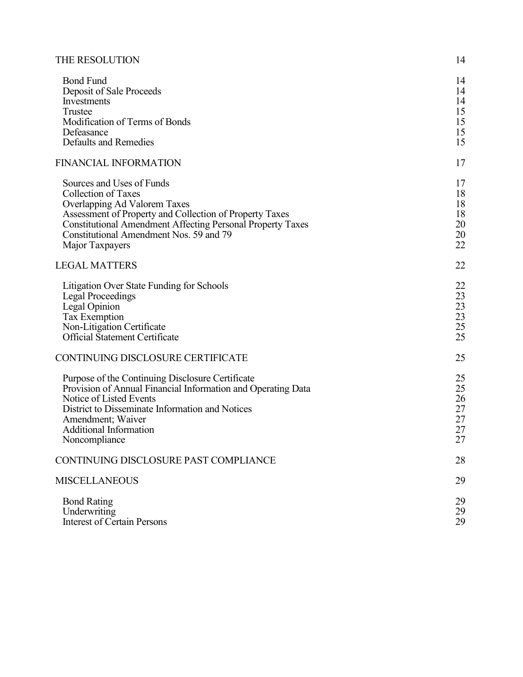| THE RESOLUTION |  |
|----------------|--|
|----------------|--|

| <b>Bond Fund</b><br>Deposit of Sale Proceeds<br>Investments<br>Trustee<br>Modification of Terms of Bonds<br>Defeasance<br>Defaults and Remedies                                                                                                                                       | 14<br>14<br>14<br>15<br>15<br>15<br>15 |
|---------------------------------------------------------------------------------------------------------------------------------------------------------------------------------------------------------------------------------------------------------------------------------------|----------------------------------------|
| <b>FINANCIAL INFORMATION</b>                                                                                                                                                                                                                                                          | 17                                     |
| Sources and Uses of Funds<br><b>Collection of Taxes</b><br>Overlapping Ad Valorem Taxes<br>Assessment of Property and Collection of Property Taxes<br><b>Constitutional Amendment Affecting Personal Property Taxes</b><br>Constitutional Amendment Nos. 59 and 79<br>Major Taxpayers | 17<br>18<br>18<br>18<br>20<br>20<br>22 |
| <b>LEGAL MATTERS</b>                                                                                                                                                                                                                                                                  | 22                                     |
| Litigation Over State Funding for Schools<br><b>Legal Proceedings</b><br>Legal Opinion<br><b>Tax Exemption</b><br>Non-Litigation Certificate<br><b>Official Statement Certificate</b>                                                                                                 | 22<br>23<br>23<br>23<br>25<br>25       |
| CONTINUING DISCLOSURE CERTIFICATE                                                                                                                                                                                                                                                     | 25                                     |
| Purpose of the Continuing Disclosure Certificate<br>Provision of Annual Financial Information and Operating Data<br>Notice of Listed Events<br>District to Disseminate Information and Notices<br>Amendment; Waiver<br><b>Additional Information</b><br>Noncompliance                 | 25<br>25<br>26<br>27<br>27<br>27<br>27 |
| CONTINUING DISCLOSURE PAST COMPLIANCE                                                                                                                                                                                                                                                 | 28                                     |
| <b>MISCELLANEOUS</b>                                                                                                                                                                                                                                                                  | 29                                     |
| <b>Bond Rating</b><br>Underwriting<br><b>Interest of Certain Persons</b>                                                                                                                                                                                                              | 29<br>29<br>29                         |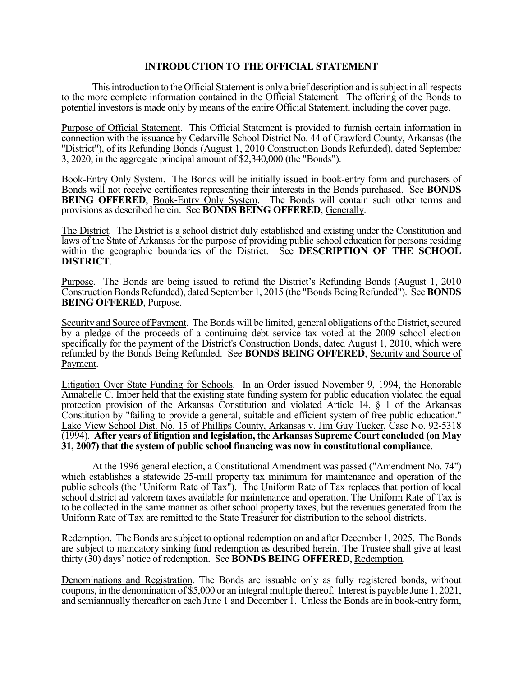# **INTRODUCTION TO THE OFFICIAL STATEMENT**

 This introduction to the Official Statement is only a brief description and is subject in all respects to the more complete information contained in the Official Statement. The offering of the Bonds to potential investors is made only by means of the entire Official Statement, including the cover page.

Purpose of Official Statement. This Official Statement is provided to furnish certain information in connection with the issuance by Cedarville School District No. 44 of Crawford County, Arkansas (the "District"), of its Refunding Bonds (August 1, 2010 Construction Bonds Refunded), dated September 3, 2020, in the aggregate principal amount of \$2,340,000 (the "Bonds").

Book-Entry Only System. The Bonds will be initially issued in book-entry form and purchasers of Bonds will not receive certificates representing their interests in the Bonds purchased. See **BONDS BEING OFFERED, Book-Entry Only System.** The Bonds will contain such other terms and provisions as described herein. See **BONDS BEING OFFERED**, Generally.

The District. The District is a school district duly established and existing under the Constitution and laws of the State of Arkansas for the purpose of providing public school education for persons residing within the geographic boundaries of the District. See **DESCRIPTION OF THE SCHOOL DISTRICT**.

Purpose. The Bonds are being issued to refund the District's Refunding Bonds (August 1, 2010 Construction Bonds Refunded), dated September 1, 2015 (the "Bonds Being Refunded"). See **BONDS BEING OFFERED**, Purpose.

Security and Source of Payment. The Bonds will be limited, general obligations of the District, secured by a pledge of the proceeds of a continuing debt service tax voted at the 2009 school election specifically for the payment of the District's Construction Bonds, dated August 1, 2010, which were refunded by the Bonds Being Refunded. See **BONDS BEING OFFERED**, Security and Source of Payment.

Litigation Over State Funding for Schools. In an Order issued November 9, 1994, the Honorable Annabelle C. Imber held that the existing state funding system for public education violated the equal protection provision of the Arkansas Constitution and violated Article 14, § 1 of the Arkansas Constitution by "failing to provide a general, suitable and efficient system of free public education." Lake View School Dist. No. 15 of Phillips County, Arkansas v. Jim Guy Tucker, Case No. 92-5318 (1994). **After years of litigation and legislation, the Arkansas Supreme Court concluded (on May 31, 2007) that the system of public school financing was now in constitutional compliance**.

At the 1996 general election, a Constitutional Amendment was passed ("Amendment No. 74") which establishes a statewide 25-mill property tax minimum for maintenance and operation of the public schools (the "Uniform Rate of Tax"). The Uniform Rate of Tax replaces that portion of local school district ad valorem taxes available for maintenance and operation. The Uniform Rate of Tax is to be collected in the same manner as other school property taxes, but the revenues generated from the Uniform Rate of Tax are remitted to the State Treasurer for distribution to the school districts.

Redemption. The Bonds are subject to optional redemption on and after December 1, 2025. The Bonds are subject to mandatory sinking fund redemption as described herein. The Trustee shall give at least thirty (30) days' notice of redemption. See **BONDS BEING OFFERED**, Redemption.

Denominations and Registration. The Bonds are issuable only as fully registered bonds, without coupons, in the denomination of \$5,000 or an integral multiple thereof. Interest is payable June 1, 2021, and semiannually thereafter on each June 1 and December 1. Unless the Bonds are in book-entry form,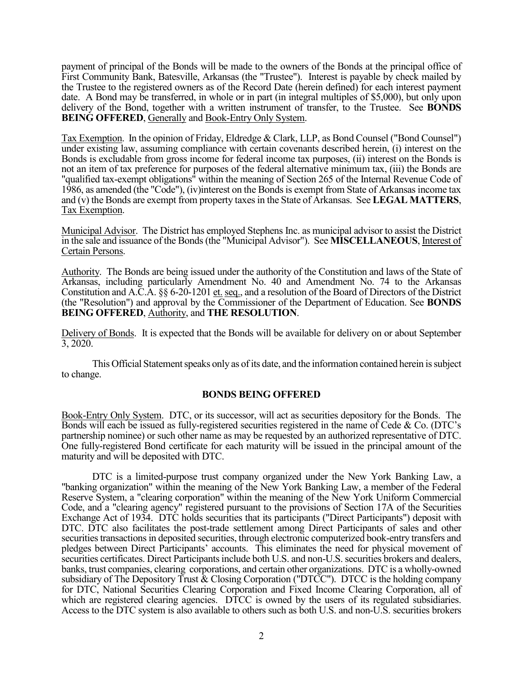payment of principal of the Bonds will be made to the owners of the Bonds at the principal office of First Community Bank, Batesville, Arkansas (the "Trustee"). Interest is payable by check mailed by the Trustee to the registered owners as of the Record Date (herein defined) for each interest payment date. A Bond may be transferred, in whole or in part (in integral multiples of \$5,000), but only upon delivery of the Bond, together with a written instrument of transfer, to the Trustee. See **BONDS BEING OFFERED, Generally and Book-Entry Only System.** 

Tax Exemption. In the opinion of Friday, Eldredge & Clark, LLP, as Bond Counsel ("Bond Counsel") under existing law, assuming compliance with certain covenants described herein, (i) interest on the Bonds is excludable from gross income for federal income tax purposes, (ii) interest on the Bonds is not an item of tax preference for purposes of the federal alternative minimum tax, (iii) the Bonds are "qualified tax-exempt obligations" within the meaning of Section 265 of the Internal Revenue Code of 1986, as amended (the "Code"), (iv)interest on the Bonds is exempt from State of Arkansas income tax and (v) the Bonds are exempt from property taxes in the State of Arkansas. See **LEGAL MATTERS**, Tax Exemption.

Municipal Advisor. The District has employed Stephens Inc. as municipal advisor to assist the District in the sale and issuance of the Bonds (the "Municipal Advisor"). See **MISCELLANEOUS**, Interest of Certain Persons.

Authority. The Bonds are being issued under the authority of the Constitution and laws of the State of Arkansas, including particularly Amendment No. 40 and Amendment No. 74 to the Arkansas Constitution and A.C.A. §§ 6-20-1201 et. seq., and a resolution of the Board of Directors of the District (the "Resolution") and approval by the Commissioner of the Department of Education. See **BONDS BEING OFFERED**, Authority, and **THE RESOLUTION**.

Delivery of Bonds. It is expected that the Bonds will be available for delivery on or about September 3, 2020.

 This Official Statement speaks only as of its date, and the information contained herein is subject to change.

## **BONDS BEING OFFERED**

Book-Entry Only System. DTC, or its successor, will act as securities depository for the Bonds. The Bonds will each be issued as fully-registered securities registered in the name of Cede & Co. (DTC's partnership nominee) or such other name as may be requested by an authorized representative of DTC. One fully-registered Bond certificate for each maturity will be issued in the principal amount of the maturity and will be deposited with DTC.

 DTC is a limited-purpose trust company organized under the New York Banking Law, a "banking organization" within the meaning of the New York Banking Law, a member of the Federal Reserve System, a "clearing corporation" within the meaning of the New York Uniform Commercial Code, and a "clearing agency" registered pursuant to the provisions of Section 17A of the Securities Exchange Act of 1934. DTC holds securities that its participants ("Direct Participants") deposit with DTC. DTC also facilitates the post-trade settlement among Direct Participants of sales and other securities transactions in deposited securities, through electronic computerized book-entry transfers and pledges between Direct Participants' accounts. This eliminates the need for physical movement of securities certificates. Direct Participants include both U.S. and non-U.S. securities brokers and dealers, banks, trust companies, clearing corporations, and certain other organizations. DTC is a wholly-owned subsidiary of The Depository Trust & Closing Corporation ("DTCC"). DTCC is the holding company for DTC, National Securities Clearing Corporation and Fixed Income Clearing Corporation, all of which are registered clearing agencies. DTCC is owned by the users of its regulated subsidiaries. Access to the DTC system is also available to others such as both U.S. and non-U.S. securities brokers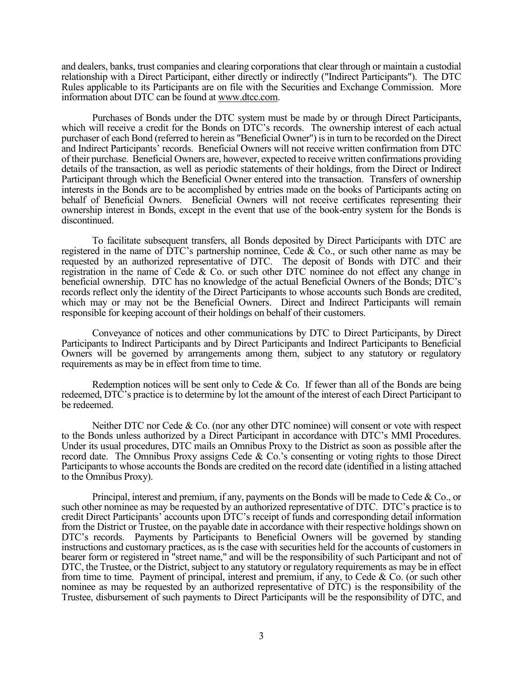and dealers, banks, trust companies and clearing corporations that clear through or maintain a custodial relationship with a Direct Participant, either directly or indirectly ("Indirect Participants"). The DTC Rules applicable to its Participants are on file with the Securities and Exchange Commission. More information about DTC can be found at www.dtcc.com.

 Purchases of Bonds under the DTC system must be made by or through Direct Participants, which will receive a credit for the Bonds on DTC's records. The ownership interest of each actual purchaser of each Bond (referred to herein as "Beneficial Owner") is in turn to be recorded on the Direct and Indirect Participants' records. Beneficial Owners will not receive written confirmation from DTC of their purchase. Beneficial Owners are, however, expected to receive written confirmations providing details of the transaction, as well as periodic statements of their holdings, from the Direct or Indirect Participant through which the Beneficial Owner entered into the transaction. Transfers of ownership interests in the Bonds are to be accomplished by entries made on the books of Participants acting on behalf of Beneficial Owners. Beneficial Owners will not receive certificates representing their ownership interest in Bonds, except in the event that use of the book-entry system for the Bonds is discontinued.

 To facilitate subsequent transfers, all Bonds deposited by Direct Participants with DTC are registered in the name of DTC's partnership nominee, Cede & Co., or such other name as may be requested by an authorized representative of DTC. The deposit of Bonds with DTC and their registration in the name of Cede & Co. or such other DTC nominee do not effect any change in beneficial ownership. DTC has no knowledge of the actual Beneficial Owners of the Bonds; DTC's records reflect only the identity of the Direct Participants to whose accounts such Bonds are credited, which may or may not be the Beneficial Owners. Direct and Indirect Participants will remain responsible for keeping account of their holdings on behalf of their customers.

 Conveyance of notices and other communications by DTC to Direct Participants, by Direct Participants to Indirect Participants and by Direct Participants and Indirect Participants to Beneficial Owners will be governed by arrangements among them, subject to any statutory or regulatory requirements as may be in effect from time to time.

Redemption notices will be sent only to Cede  $& Co$ . If fewer than all of the Bonds are being redeemed, DTC's practice is to determine by lot the amount of the interest of each Direct Participant to be redeemed.

 Neither DTC nor Cede & Co. (nor any other DTC nominee) will consent or vote with respect to the Bonds unless authorized by a Direct Participant in accordance with DTC's MMI Procedures. Under its usual procedures, DTC mails an Omnibus Proxy to the District as soon as possible after the record date. The Omnibus Proxy assigns Cede & Co.'s consenting or voting rights to those Direct Participants to whose accounts the Bonds are credited on the record date (identified in a listing attached to the Omnibus Proxy).

 Principal, interest and premium, if any, payments on the Bonds will be made to Cede & Co., or such other nominee as may be requested by an authorized representative of DTC. DTC's practice is to credit Direct Participants' accounts upon DTC's receipt of funds and corresponding detail information from the District or Trustee, on the payable date in accordance with their respective holdings shown on DTC's records. Payments by Participants to Beneficial Owners will be governed by standing instructions and customary practices, as is the case with securities held for the accounts of customers in bearer form or registered in "street name," and will be the responsibility of such Participant and not of DTC, the Trustee, or the District, subject to any statutory or regulatory requirements as may be in effect from time to time. Payment of principal, interest and premium, if any, to Cede & Co. (or such other nominee as may be requested by an authorized representative of DTC) is the responsibility of the Trustee, disbursement of such payments to Direct Participants will be the responsibility of DTC, and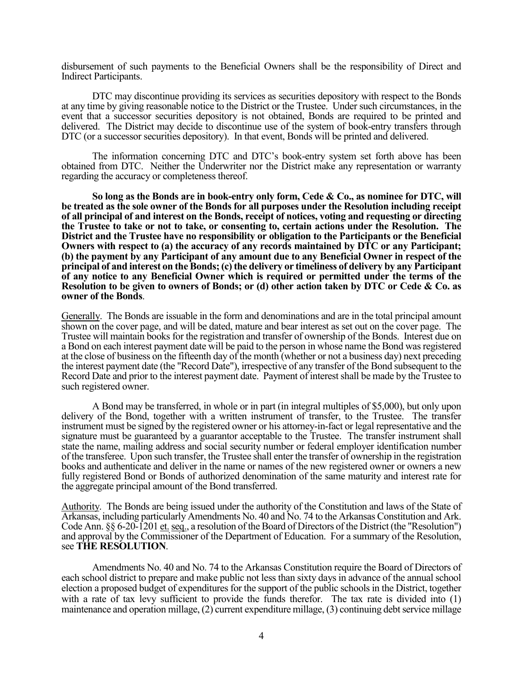disbursement of such payments to the Beneficial Owners shall be the responsibility of Direct and Indirect Participants.

 DTC may discontinue providing its services as securities depository with respect to the Bonds at any time by giving reasonable notice to the District or the Trustee. Under such circumstances, in the event that a successor securities depository is not obtained, Bonds are required to be printed and delivered. The District may decide to discontinue use of the system of book-entry transfers through DTC (or a successor securities depository). In that event, Bonds will be printed and delivered.

 The information concerning DTC and DTC's book-entry system set forth above has been obtained from DTC. Neither the Underwriter nor the District make any representation or warranty regarding the accuracy or completeness thereof.

 **So long as the Bonds are in book-entry only form, Cede & Co., as nominee for DTC, will be treated as the sole owner of the Bonds for all purposes under the Resolution including receipt of all principal of and interest on the Bonds, receipt of notices, voting and requesting or directing the Trustee to take or not to take, or consenting to, certain actions under the Resolution. The District and the Trustee have no responsibility or obligation to the Participants or the Beneficial Owners with respect to (a) the accuracy of any records maintained by DTC or any Participant; (b) the payment by any Participant of any amount due to any Beneficial Owner in respect of the principal of and interest on the Bonds; (c) the delivery or timeliness of delivery by any Participant of any notice to any Beneficial Owner which is required or permitted under the terms of the Resolution to be given to owners of Bonds; or (d) other action taken by DTC or Cede & Co. as owner of the Bonds**.

Generally. The Bonds are issuable in the form and denominations and are in the total principal amount shown on the cover page, and will be dated, mature and bear interest as set out on the cover page. The Trustee will maintain books for the registration and transfer of ownership of the Bonds. Interest due on a Bond on each interest payment date will be paid to the person in whose name the Bond was registered at the close of business on the fifteenth day of the month (whether or not a business day) next preceding the interest payment date (the "Record Date"), irrespective of any transfer of the Bond subsequent to the Record Date and prior to the interest payment date. Payment of interest shall be made by the Trustee to such registered owner.

 A Bond may be transferred, in whole or in part (in integral multiples of \$5,000), but only upon delivery of the Bond, together with a written instrument of transfer, to the Trustee. The transfer instrument must be signed by the registered owner or his attorney-in-fact or legal representative and the signature must be guaranteed by a guarantor acceptable to the Trustee. The transfer instrument shall state the name, mailing address and social security number or federal employer identification number of the transferee. Upon such transfer, the Trustee shall enter the transfer of ownership in the registration books and authenticate and deliver in the name or names of the new registered owner or owners a new fully registered Bond or Bonds of authorized denomination of the same maturity and interest rate for the aggregate principal amount of the Bond transferred.

Authority. The Bonds are being issued under the authority of the Constitution and laws of the State of Arkansas, including particularly Amendments No. 40 and No. 74 to the Arkansas Constitution and Ark. Code Ann. §§ 6-20-1201 et. seq., a resolution of the Board of Directors of the District (the "Resolution") and approval by the Commissioner of the Department of Education. For a summary of the Resolution, see **THE RESOLUTION**.

 Amendments No. 40 and No. 74 to the Arkansas Constitution require the Board of Directors of each school district to prepare and make public not less than sixty days in advance of the annual school election a proposed budget of expenditures for the support of the public schools in the District, together with a rate of tax levy sufficient to provide the funds therefor. The tax rate is divided into (1) maintenance and operation millage, (2) current expenditure millage, (3) continuing debt service millage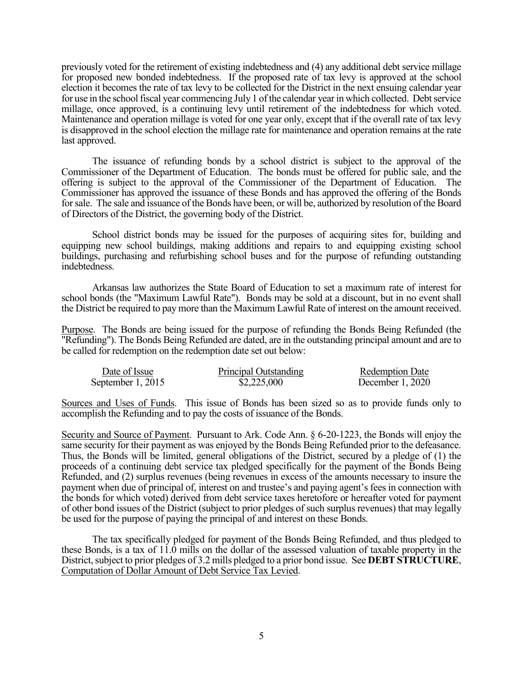previously voted for the retirement of existing indebtedness and (4) any additional debt service millage for proposed new bonded indebtedness. If the proposed rate of tax levy is approved at the school election it becomes the rate of tax levy to be collected for the District in the next ensuing calendar year for use in the school fiscal year commencing July 1 of the calendar year in which collected. Debt service millage, once approved, is a continuing levy until retirement of the indebtedness for which voted. Maintenance and operation millage is voted for one year only, except that if the overall rate of tax levy is disapproved in the school election the millage rate for maintenance and operation remains at the rate last approved.

 The issuance of refunding bonds by a school district is subject to the approval of the Commissioner of the Department of Education. The bonds must be offered for public sale, and the offering is subject to the approval of the Commissioner of the Department of Education. The Commissioner has approved the issuance of these Bonds and has approved the offering of the Bonds for sale. The sale and issuance of the Bonds have been, or will be, authorized by resolution of the Board of Directors of the District, the governing body of the District.

 School district bonds may be issued for the purposes of acquiring sites for, building and equipping new school buildings, making additions and repairs to and equipping existing school buildings, purchasing and refurbishing school buses and for the purpose of refunding outstanding indebtedness.

Arkansas law authorizes the State Board of Education to set a maximum rate of interest for school bonds (the "Maximum Lawful Rate"). Bonds may be sold at a discount, but in no event shall the District be required to pay more than the Maximum Lawful Rate of interest on the amount received.

Purpose. The Bonds are being issued for the purpose of refunding the Bonds Being Refunded (the "Refunding"). The Bonds Being Refunded are dated, are in the outstanding principal amount and are to be called for redemption on the redemption date set out below:

| Date of Issue     | Principal Outstanding | <b>Redemption Date</b> |
|-------------------|-----------------------|------------------------|
| September 1, 2015 | \$2,225,000           | December $1,2020$      |

Sources and Uses of Funds. This issue of Bonds has been sized so as to provide funds only to accomplish the Refunding and to pay the costs of issuance of the Bonds.

Security and Source of Payment. Pursuant to Ark. Code Ann. § 6-20-1223, the Bonds will enjoy the same security for their payment as was enjoyed by the Bonds Being Refunded prior to the defeasance. Thus, the Bonds will be limited, general obligations of the District, secured by a pledge of (1) the proceeds of a continuing debt service tax pledged specifically for the payment of the Bonds Being Refunded, and (2) surplus revenues (being revenues in excess of the amounts necessary to insure the payment when due of principal of, interest on and trustee's and paying agent's fees in connection with the bonds for which voted) derived from debt service taxes heretofore or hereafter voted for payment of other bond issues of the District (subject to prior pledges of such surplus revenues) that may legally be used for the purpose of paying the principal of and interest on these Bonds.

 The tax specifically pledged for payment of the Bonds Being Refunded, and thus pledged to these Bonds, is a tax of 11.0 mills on the dollar of the assessed valuation of taxable property in the District, subject to prior pledges of 3.2 mills pledged to a prior bond issue. See **DEBT STRUCTURE**, Computation of Dollar Amount of Debt Service Tax Levied.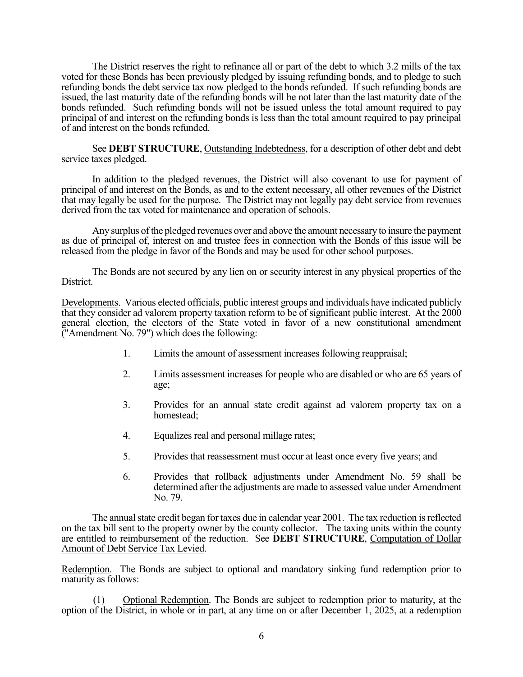The District reserves the right to refinance all or part of the debt to which 3.2 mills of the tax voted for these Bonds has been previously pledged by issuing refunding bonds, and to pledge to such refunding bonds the debt service tax now pledged to the bonds refunded. If such refunding bonds are issued, the last maturity date of the refunding bonds will be not later than the last maturity date of the bonds refunded. Such refunding bonds will not be issued unless the total amount required to pay principal of and interest on the refunding bonds is less than the total amount required to pay principal of and interest on the bonds refunded.

 See **DEBT STRUCTURE**, Outstanding Indebtedness, for a description of other debt and debt service taxes pledged.

 In addition to the pledged revenues, the District will also covenant to use for payment of principal of and interest on the Bonds, as and to the extent necessary, all other revenues of the District that may legally be used for the purpose. The District may not legally pay debt service from revenues derived from the tax voted for maintenance and operation of schools.

 Any surplus of the pledged revenues over and above the amount necessary to insure the payment as due of principal of, interest on and trustee fees in connection with the Bonds of this issue will be released from the pledge in favor of the Bonds and may be used for other school purposes.

 The Bonds are not secured by any lien on or security interest in any physical properties of the District.

Developments. Various elected officials, public interest groups and individuals have indicated publicly that they consider ad valorem property taxation reform to be of significant public interest. At the 2000 general election, the electors of the State voted in favor of a new constitutional amendment ("Amendment No. 79") which does the following:

- 1. Limits the amount of assessment increases following reappraisal;
- 2. Limits assessment increases for people who are disabled or who are 65 years of age;
- 3. Provides for an annual state credit against ad valorem property tax on a homestead;
- 4. Equalizes real and personal millage rates;
- 5. Provides that reassessment must occur at least once every five years; and
- 6. Provides that rollback adjustments under Amendment No. 59 shall be determined after the adjustments are made to assessed value under Amendment No. 79.

 The annual state credit began for taxes due in calendar year 2001. The tax reduction is reflected on the tax bill sent to the property owner by the county collector. The taxing units within the county are entitled to reimbursement of the reduction. See **DEBT STRUCTURE**, Computation of Dollar Amount of Debt Service Tax Levied.

Redemption. The Bonds are subject to optional and mandatory sinking fund redemption prior to maturity as follows:

(1) Optional Redemption. The Bonds are subject to redemption prior to maturity, at the option of the District, in whole or in part, at any time on or after December 1, 2025, at a redemption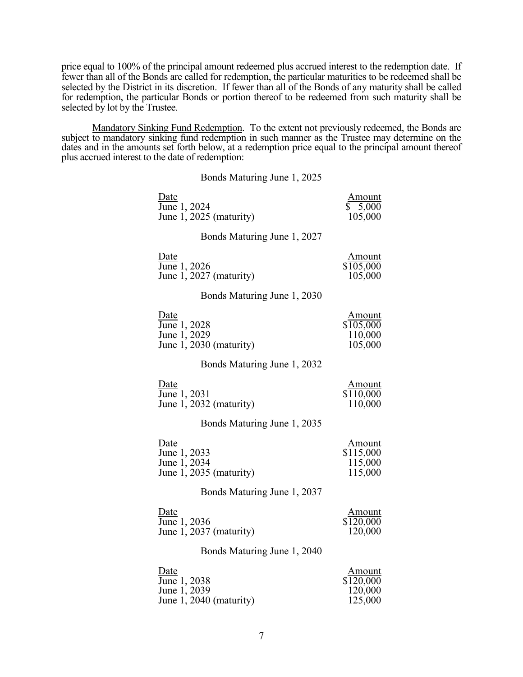price equal to 100% of the principal amount redeemed plus accrued interest to the redemption date. If fewer than all of the Bonds are called for redemption, the particular maturities to be redeemed shall be selected by the District in its discretion. If fewer than all of the Bonds of any maturity shall be called for redemption, the particular Bonds or portion thereof to be redeemed from such maturity shall be selected by lot by the Trustee.

Mandatory Sinking Fund Redemption. To the extent not previously redeemed, the Bonds are subject to mandatory sinking fund redemption in such manner as the Trustee may determine on the dates and in the amounts set forth below, at a redemption price equal to the principal amount thereof plus accrued interest to the date of redemption:

#### Bonds Maturing June 1, 2025

| Date                             | <u>Amount</u> |
|----------------------------------|---------------|
| June 1, 2024                     | \$5,000       |
| June 1, 2025 (maturity)          | 105,000       |
| Bonds Maturing June 1, 2027      |               |
| Date                             | <u>Amount</u> |
| June 1, 2026                     | \$105,000     |
| June 1, 2027 (maturity)          | 105,000       |
| Bonds Maturing June 1, 2030      |               |
| Date                             | <b>Amount</b> |
| June 1, 2028                     | \$105,000     |
| June 1, 2029                     | 110,000       |
| June 1, 2030 (maturity)          | 105,000       |
| Bonds Maturing June 1, 2032      |               |
| Date                             | <u>Amount</u> |
| $\overline{\text{June}}$ 1, 2031 | \$110,000     |
| June 1, 2032 (maturity)          | 110,000       |
| Bonds Maturing June 1, 2035      |               |
| Date                             | <u>Amount</u> |
| June 1, 2033                     | \$115,000     |
| June 1, 2034                     | 115,000       |
| June 1, 2035 (maturity)          | 115,000       |
| Bonds Maturing June 1, 2037      |               |
| Date                             | <u>Amount</u> |
| $\overline{\text{June}}$ 1, 2036 | \$120,000     |
| June 1, 2037 (maturity)          | 120,000       |
| Bonds Maturing June 1, 2040      |               |
| Date                             | Amount        |
| June 1, 2038                     | \$120,000     |
| June 1, 2039                     | 120,000       |
| June 1, 2040 (maturity)          | 125,000       |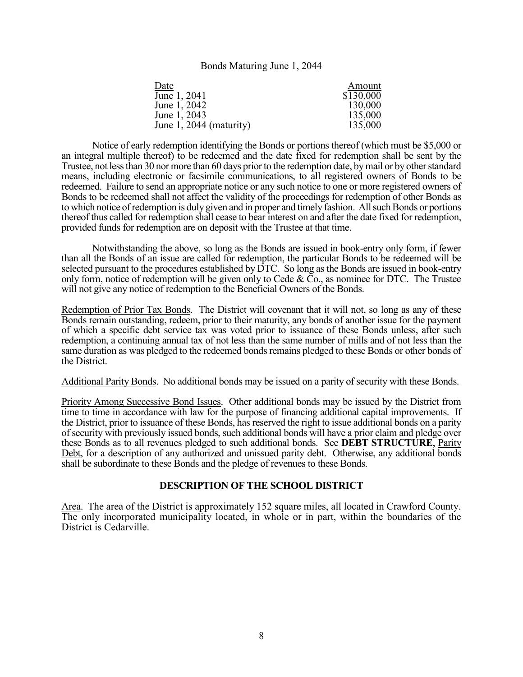#### Bonds Maturing June 1, 2044

| Date                    | Amount    |
|-------------------------|-----------|
| June 1, 2041            | \$130,000 |
| June 1, 2042            | 130,000   |
| June 1, 2043            | 135,000   |
| June 1, 2044 (maturity) | 135,000   |

 Notice of early redemption identifying the Bonds or portions thereof (which must be \$5,000 or an integral multiple thereof) to be redeemed and the date fixed for redemption shall be sent by the Trustee, not less than 30 nor more than 60 days prior to the redemption date, by mail or by other standard means, including electronic or facsimile communications, to all registered owners of Bonds to be redeemed. Failure to send an appropriate notice or any such notice to one or more registered owners of Bonds to be redeemed shall not affect the validity of the proceedings for redemption of other Bonds as to which notice of redemption is duly given and in proper and timely fashion. All such Bonds or portions thereof thus called for redemption shall cease to bear interest on and after the date fixed for redemption, provided funds for redemption are on deposit with the Trustee at that time.

 Notwithstanding the above, so long as the Bonds are issued in book-entry only form, if fewer than all the Bonds of an issue are called for redemption, the particular Bonds to be redeemed will be selected pursuant to the procedures established by DTC. So long as the Bonds are issued in book-entry only form, notice of redemption will be given only to Cede &  $\bar{C}$ o., as nominee for DTC. The Trustee will not give any notice of redemption to the Beneficial Owners of the Bonds.

Redemption of Prior Tax Bonds. The District will covenant that it will not, so long as any of these Bonds remain outstanding, redeem, prior to their maturity, any bonds of another issue for the payment of which a specific debt service tax was voted prior to issuance of these Bonds unless, after such redemption, a continuing annual tax of not less than the same number of mills and of not less than the same duration as was pledged to the redeemed bonds remains pledged to these Bonds or other bonds of the District.

Additional Parity Bonds. No additional bonds may be issued on a parity of security with these Bonds.

Priority Among Successive Bond Issues. Other additional bonds may be issued by the District from time to time in accordance with law for the purpose of financing additional capital improvements. If the District, prior to issuance of these Bonds, has reserved the right to issue additional bonds on a parity of security with previously issued bonds, such additional bonds will have a prior claim and pledge over these Bonds as to all revenues pledged to such additional bonds. See **DEBT STRUCTURE**, Parity Debt, for a description of any authorized and unissued parity debt. Otherwise, any additional bonds shall be subordinate to these Bonds and the pledge of revenues to these Bonds.

# **DESCRIPTION OF THE SCHOOL DISTRICT**

Area. The area of the District is approximately 152 square miles, all located in Crawford County. The only incorporated municipality located, in whole or in part, within the boundaries of the District is Cedarville.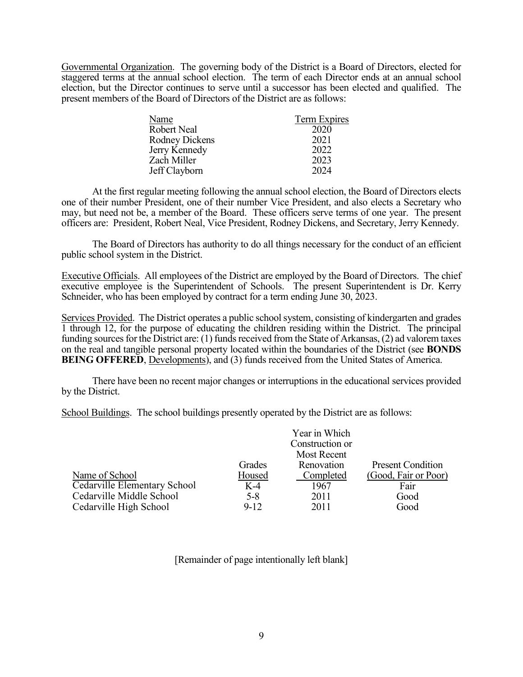Governmental Organization. The governing body of the District is a Board of Directors, elected for staggered terms at the annual school election. The term of each Director ends at an annual school election, but the Director continues to serve until a successor has been elected and qualified. The present members of the Board of Directors of the District are as follows:

| Name                  | Term Expires |
|-----------------------|--------------|
| Robert Neal           | 2020         |
| <b>Rodney Dickens</b> | 2021         |
| Jerry Kennedy         | 2022         |
| Zach Miller           | 2023         |
| Jeff Clayborn         | 2024         |

 At the first regular meeting following the annual school election, the Board of Directors elects one of their number President, one of their number Vice President, and also elects a Secretary who may, but need not be, a member of the Board. These officers serve terms of one year. The present officers are: President, Robert Neal, Vice President, Rodney Dickens, and Secretary, Jerry Kennedy.

 The Board of Directors has authority to do all things necessary for the conduct of an efficient public school system in the District.

Executive Officials. All employees of the District are employed by the Board of Directors. The chief executive employee is the Superintendent of Schools. The present Superintendent is Dr. Kerry Schneider, who has been employed by contract for a term ending June 30, 2023.

Services Provided. The District operates a public school system, consisting of kindergarten and grades 1 through 12, for the purpose of educating the children residing within the District. The principal funding sources for the District are: (1) funds received from the State of Arkansas, (2) ad valorem taxes on the real and tangible personal property located within the boundaries of the District (see **BONDS BEING OFFERED**, Developments), and (3) funds received from the United States of America.

 There have been no recent major changes or interruptions in the educational services provided by the District.

School Buildings. The school buildings presently operated by the District are as follows:

|                              |         | Year in Which<br>Construction or<br><b>Most Recent</b> |                          |
|------------------------------|---------|--------------------------------------------------------|--------------------------|
|                              | Grades  | Renovation                                             | <b>Present Condition</b> |
| Name of School               | Housed  | Completed                                              | (Good, Fair or Poor)     |
| Cedarville Elementary School | $K-4$   | 1967                                                   | Fair                     |
| Cedarville Middle School     | $5 - 8$ | 2011                                                   | Good                     |
| Cedarville High School       | $9-12$  | 2011                                                   | Good                     |

[Remainder of page intentionally left blank]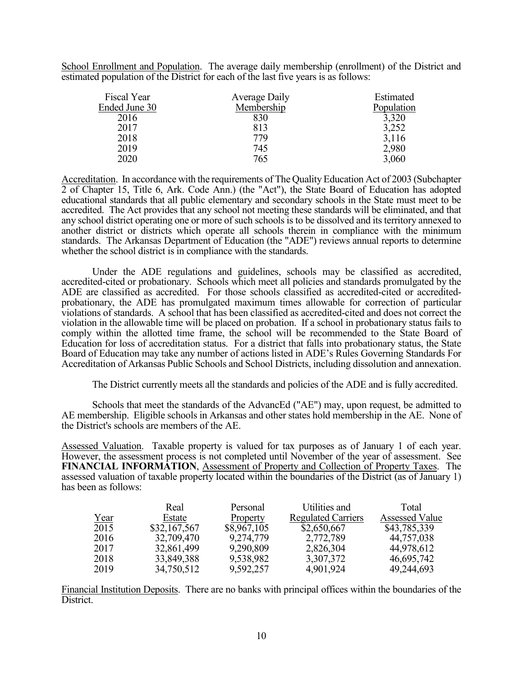School Enrollment and Population. The average daily membership (enrollment) of the District and estimated population of the District for each of the last five years is as follows:

| Fiscal Year   | Average Daily | Estimated  |
|---------------|---------------|------------|
| Ended June 30 | Membership    | Population |
| 2016          | 830           | 3,320      |
| 2017          | 813           | 3,252      |
| 2018          | 779           | 3,116      |
| 2019          | 745           | 2,980      |
| 2020          | 765           | 3,060      |

Accreditation. In accordance with the requirements of The Quality Education Act of 2003 (Subchapter 2 of Chapter 15, Title 6, Ark. Code Ann.) (the "Act"), the State Board of Education has adopted educational standards that all public elementary and secondary schools in the State must meet to be accredited. The Act provides that any school not meeting these standards will be eliminated, and that any school district operating one or more of such schools is to be dissolved and its territory annexed to another district or districts which operate all schools therein in compliance with the minimum standards. The Arkansas Department of Education (the "ADE") reviews annual reports to determine whether the school district is in compliance with the standards.

 Under the ADE regulations and guidelines, schools may be classified as accredited, accredited-cited or probationary. Schools which meet all policies and standards promulgated by the ADE are classified as accredited. For those schools classified as accredited-cited or accreditedprobationary, the ADE has promulgated maximum times allowable for correction of particular violations of standards. A school that has been classified as accredited-cited and does not correct the violation in the allowable time will be placed on probation. If a school in probationary status fails to comply within the allotted time frame, the school will be recommended to the State Board of Education for loss of accreditation status. For a district that falls into probationary status, the State Board of Education may take any number of actions listed in ADE's Rules Governing Standards For Accreditation of Arkansas Public Schools and School Districts, including dissolution and annexation.

The District currently meets all the standards and policies of the ADE and is fully accredited.

 Schools that meet the standards of the AdvancEd ("AE") may, upon request, be admitted to AE membership. Eligible schools in Arkansas and other states hold membership in the AE. None of the District's schools are members of the AE.

Assessed Valuation. Taxable property is valued for tax purposes as of January 1 of each year. However, the assessment process is not completed until November of the year of assessment. See **FINANCIAL INFORMATION**, Assessment of Property and Collection of Property Taxes. The assessed valuation of taxable property located within the boundaries of the District (as of January 1) has been as follows:

|      | Real         | Personal    | Utilities and             | Total                 |
|------|--------------|-------------|---------------------------|-----------------------|
| Year | Estate       | Property    | <b>Regulated Carriers</b> | <b>Assessed Value</b> |
| 2015 | \$32,167,567 | \$8,967,105 | \$2,650,667               | \$43,785,339          |
| 2016 | 32,709,470   | 9,274,779   | 2,772,789                 | 44,757,038            |
| 2017 | 32,861,499   | 9,290,809   | 2,826,304                 | 44,978,612            |
| 2018 | 33,849,388   | 9,538,982   | 3,307,372                 | 46,695,742            |
| 2019 | 34,750,512   | 9,592,257   | 4,901,924                 | 49,244,693            |

Financial Institution Deposits. There are no banks with principal offices within the boundaries of the District.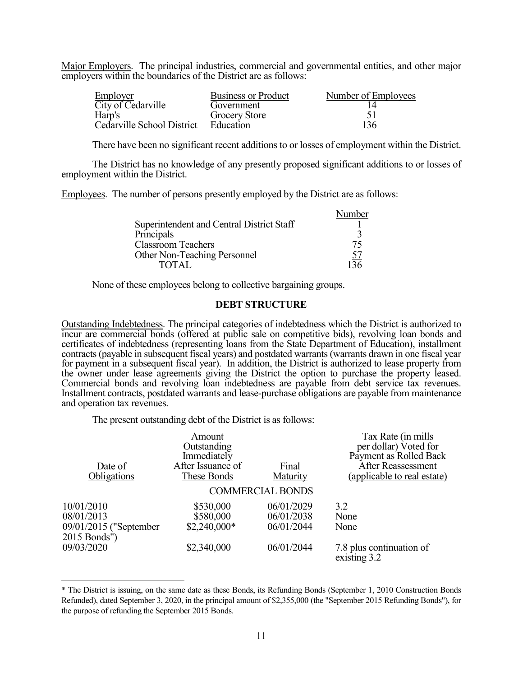Major Employers. The principal industries, commercial and governmental entities, and other major employers within the boundaries of the District are as follows:

| Employer                   | <b>Business or Product</b> | Number of Employees |
|----------------------------|----------------------------|---------------------|
| City of Cedarville         | Government                 |                     |
| Harp's                     | <b>Grocery Store</b>       |                     |
| Cedarville School District | Education                  | 136                 |

There have been no significant recent additions to or losses of employment within the District.

The District has no knowledge of any presently proposed significant additions to or losses of employment within the District.

Employees. The number of persons presently employed by the District are as follows:

|                                           | Number    |
|-------------------------------------------|-----------|
| Superintendent and Central District Staff |           |
| Principals                                |           |
| <b>Classroom Teachers</b>                 | 75        |
| Other Non-Teaching Personnel              | <u>57</u> |
| <b>TOTAL</b>                              | 136       |

None of these employees belong to collective bargaining groups.

#### **DEBT STRUCTURE**

Outstanding Indebtedness. The principal categories of indebtedness which the District is authorized to incur are commercial bonds (offered at public sale on competitive bids), revolving loan bonds and certificates of indebtedness (representing loans from the State Department of Education), installment contracts (payable in subsequent fiscal years) and postdated warrants (warrants drawn in one fiscal year for payment in a subsequent fiscal year). In addition, the District is authorized to lease property from the owner under lease agreements giving the District the option to purchase the property leased. Commercial bonds and revolving loan indebtedness are payable from debt service tax revenues. Installment contracts, postdated warrants and lease-purchase obligations are payable from maintenance and operation tax revenues.

The present outstanding debt of the District is as follows:

 $\overline{a}$ 

|                                        | Amount            |                         | Tax Rate (in mills                       |
|----------------------------------------|-------------------|-------------------------|------------------------------------------|
|                                        | Outstanding       |                         | per dollar) Voted for                    |
|                                        | Immediately       |                         | Payment as Rolled Back                   |
| Date of                                | After Issuance of | Final                   | <b>After Reassessment</b>                |
| Obligations                            | These Bonds       | Maturity                | (applicable to real estate)              |
|                                        |                   | <b>COMMERCIAL BONDS</b> |                                          |
| 10/01/2010                             | \$530,000         | 06/01/2029              | 3.2                                      |
| 08/01/2013                             | \$580,000         | 06/01/2038              | None                                     |
| 09/01/2015 ("September<br>2015 Bonds") | $$2,240,000*$     | 06/01/2044              | None                                     |
| 09/03/2020                             | \$2,340,000       | 06/01/2044              | 7.8 plus continuation of<br>existing 3.2 |

<sup>\*</sup> The District is issuing, on the same date as these Bonds, its Refunding Bonds (September 1, 2010 Construction Bonds Refunded), dated September 3, 2020, in the principal amount of \$2,355,000 (the "September 2015 Refunding Bonds"), for the purpose of refunding the September 2015 Bonds.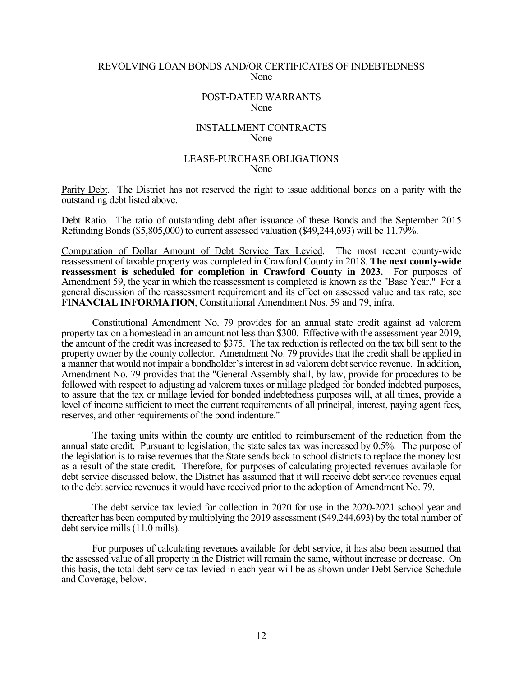#### REVOLVING LOAN BONDS AND/OR CERTIFICATES OF INDEBTEDNESS None

#### POST-DATED WARRANTS None

### INSTALLMENT CONTRACTS None

#### LEASE-PURCHASE OBLIGATIONS None

Parity Debt. The District has not reserved the right to issue additional bonds on a parity with the outstanding debt listed above.

Debt Ratio. The ratio of outstanding debt after issuance of these Bonds and the September 2015 Refunding Bonds (\$5,805,000) to current assessed valuation (\$49,244,693) will be 11.79%.

Computation of Dollar Amount of Debt Service Tax Levied. The most recent county-wide reassessment of taxable property was completed in Crawford County in 2018. **The next county-wide reassessment is scheduled for completion in Crawford County in 2023.** For purposes of Amendment 59, the year in which the reassessment is completed is known as the "Base Year." For a general discussion of the reassessment requirement and its effect on assessed value and tax rate, see **FINANCIAL INFORMATION**, Constitutional Amendment Nos. 59 and 79, infra.

 Constitutional Amendment No. 79 provides for an annual state credit against ad valorem property tax on a homestead in an amount not less than \$300. Effective with the assessment year 2019, the amount of the credit was increased to \$375. The tax reduction is reflected on the tax bill sent to the property owner by the county collector. Amendment No. 79 provides that the credit shall be applied in a manner that would not impair a bondholder's interest in ad valorem debt service revenue. In addition, Amendment No. 79 provides that the "General Assembly shall, by law, provide for procedures to be followed with respect to adjusting ad valorem taxes or millage pledged for bonded indebted purposes, to assure that the tax or millage levied for bonded indebtedness purposes will, at all times, provide a level of income sufficient to meet the current requirements of all principal, interest, paying agent fees, reserves, and other requirements of the bond indenture."

The taxing units within the county are entitled to reimbursement of the reduction from the annual state credit. Pursuant to legislation, the state sales tax was increased by 0.5%. The purpose of the legislation is to raise revenues that the State sends back to school districts to replace the money lost as a result of the state credit. Therefore, for purposes of calculating projected revenues available for debt service discussed below, the District has assumed that it will receive debt service revenues equal to the debt service revenues it would have received prior to the adoption of Amendment No. 79.

 The debt service tax levied for collection in 2020 for use in the 2020-2021 school year and thereafter has been computed by multiplying the 2019 assessment (\$49,244,693) by the total number of debt service mills (11.0 mills).

 For purposes of calculating revenues available for debt service, it has also been assumed that the assessed value of all property in the District will remain the same, without increase or decrease. On this basis, the total debt service tax levied in each year will be as shown under Debt Service Schedule and Coverage, below.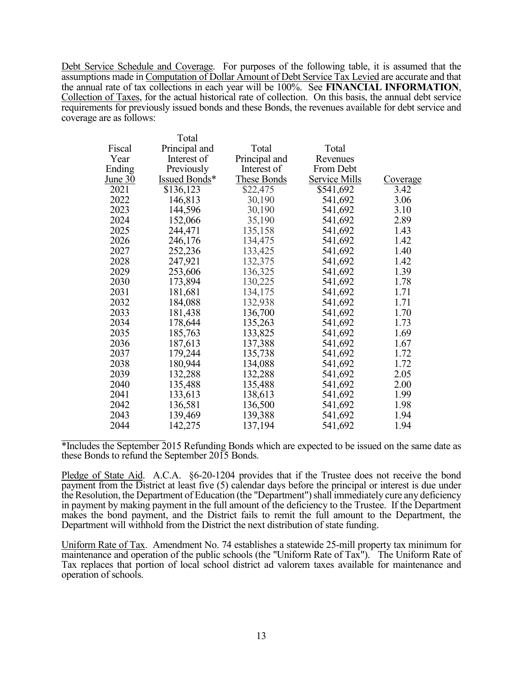Debt Service Schedule and Coverage. For purposes of the following table, it is assumed that the assumptions made in Computation of Dollar Amount of Debt Service Tax Levied are accurate and that the annual rate of tax collections in each year will be 100%. See **FINANCIAL INFORMATION**, Collection of Taxes, for the actual historical rate of collection. On this basis, the annual debt service requirements for previously issued bonds and these Bonds, the revenues available for debt service and coverage are as follows:

|         | Total         |                    |                      |                 |
|---------|---------------|--------------------|----------------------|-----------------|
| Fiscal  | Principal and | Total              | Total                |                 |
| Year    | Interest of   | Principal and      | Revenues             |                 |
| Ending  | Previously    | Interest of        | From Debt            |                 |
| June 30 | Issued Bonds* | <b>These Bonds</b> | <b>Service Mills</b> | <u>Coverage</u> |
| 2021    | \$136,123     | \$22,475           | \$541,692            | 3.42            |
| 2022    | 146,813       | 30,190             | 541,692              | 3.06            |
| 2023    | 144,596       | 30,190             | 541,692              | 3.10            |
| 2024    | 152,066       | 35,190             | 541,692              | 2.89            |
| 2025    | 244,471       | 135,158            | 541,692              | 1.43            |
| 2026    | 246,176       | 134,475            | 541,692              | 1.42            |
| 2027    | 252,236       | 133,425            | 541,692              | 1.40            |
| 2028    | 247,921       | 132,375            | 541,692              | 1.42            |
| 2029    | 253,606       | 136,325            | 541,692              | 1.39            |
| 2030    | 173,894       | 130,225            | 541,692              | 1.78            |
| 2031    | 181,681       | 134,175            | 541,692              | 1.71            |
| 2032    | 184,088       | 132,938            | 541,692              | 1.71            |
| 2033    | 181,438       | 136,700            | 541,692              | 1.70            |
| 2034    | 178,644       | 135,263            | 541,692              | 1.73            |
| 2035    | 185,763       | 133,825            | 541,692              | 1.69            |
| 2036    | 187,613       | 137,388            | 541,692              | 1.67            |
| 2037    | 179,244       | 135,738            | 541,692              | 1.72            |
| 2038    | 180,944       | 134,088            | 541,692              | 1.72            |
| 2039    | 132,288       | 132,288            | 541,692              | 2.05            |
| 2040    | 135,488       | 135,488            | 541,692              | 2.00            |
| 2041    | 133,613       | 138,613            | 541,692              | 1.99            |
| 2042    | 136,581       | 136,500            | 541,692              | 1.98            |
| 2043    | 139,469       | 139,388            | 541,692              | 1.94            |
| 2044    | 142,275       | 137,194            | 541,692              | 1.94            |

\*Includes the September 2015 Refunding Bonds which are expected to be issued on the same date as these Bonds to refund the September 2015 Bonds.

Pledge of State Aid. A.C.A. §6-20-1204 provides that if the Trustee does not receive the bond payment from the District at least five (5) calendar days before the principal or interest is due under the Resolution, the Department of Education (the "Department") shall immediately cure any deficiency in payment by making payment in the full amount of the deficiency to the Trustee. If the Department makes the bond payment, and the District fails to remit the full amount to the Department, the Department will withhold from the District the next distribution of state funding.

Uniform Rate of Tax. Amendment No. 74 establishes a statewide 25-mill property tax minimum for maintenance and operation of the public schools (the "Uniform Rate of Tax"). The Uniform Rate of Tax replaces that portion of local school district ad valorem taxes available for maintenance and operation of schools.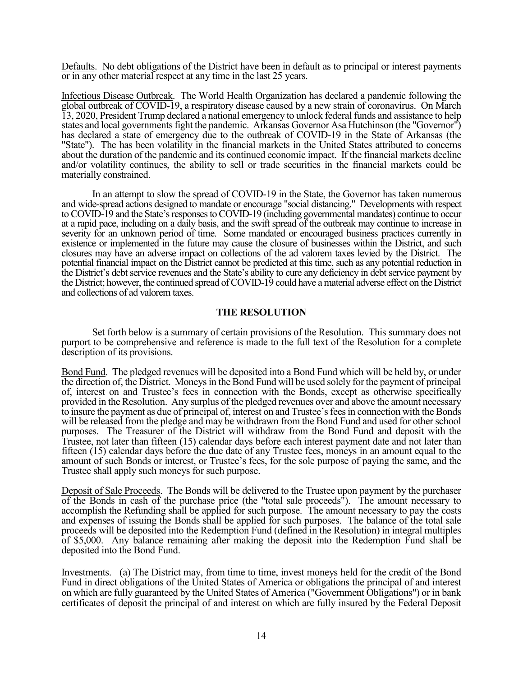Defaults. No debt obligations of the District have been in default as to principal or interest payments or in any other material respect at any time in the last 25 years.

Infectious Disease Outbreak. The World Health Organization has declared a pandemic following the global outbreak of COVID-19, a respiratory disease caused by a new strain of coronavirus. On March 13, 2020, President Trump declared a national emergency to unlock federal funds and assistance to help states and local governments fight the pandemic. Arkansas Governor Asa Hutchinson (the "Governor") has declared a state of emergency due to the outbreak of COVID-19 in the State of Arkansas (the "State"). The has been volatility in the financial markets in the United States attributed to concerns about the duration of the pandemic and its continued economic impact. If the financial markets decline and/or volatility continues, the ability to sell or trade securities in the financial markets could be materially constrained.

In an attempt to slow the spread of COVID-19 in the State, the Governor has taken numerous and wide-spread actions designed to mandate or encourage "social distancing." Developments with respect to COVID-19 and the State's responses to COVID-19 (including governmental mandates) continue to occur at a rapid pace, including on a daily basis, and the swift spread of the outbreak may continue to increase in severity for an unknown period of time. Some mandated or encouraged business practices currently in existence or implemented in the future may cause the closure of businesses within the District, and such closures may have an adverse impact on collections of the ad valorem taxes levied by the District. The potential financial impact on the District cannot be predicted at this time, such as any potential reduction in the District's debt service revenues and the State's ability to cure any deficiency in debt service payment by the District; however, the continued spread of COVID-19 could have a material adverse effect on the District and collections of ad valorem taxes.

## **THE RESOLUTION**

 Set forth below is a summary of certain provisions of the Resolution. This summary does not purport to be comprehensive and reference is made to the full text of the Resolution for a complete description of its provisions.

Bond Fund. The pledged revenues will be deposited into a Bond Fund which will be held by, or under the direction of, the District. Moneys in the Bond Fund will be used solely for the payment of principal of, interest on and Trustee's fees in connection with the Bonds, except as otherwise specifically provided in the Resolution. Any surplus of the pledged revenues over and above the amount necessary to insure the payment as due of principal of, interest on and Trustee's fees in connection with the Bonds will be released from the pledge and may be withdrawn from the Bond Fund and used for other school purposes. The Treasurer of the District will withdraw from the Bond Fund and deposit with the Trustee, not later than fifteen (15) calendar days before each interest payment date and not later than fifteen (15) calendar days before the due date of any Trustee fees, moneys in an amount equal to the amount of such Bonds or interest, or Trustee's fees, for the sole purpose of paying the same, and the Trustee shall apply such moneys for such purpose.

Deposit of Sale Proceeds. The Bonds will be delivered to the Trustee upon payment by the purchaser of the Bonds in cash of the purchase price (the "total sale proceeds"). The amount necessary to accomplish the Refunding shall be applied for such purpose. The amount necessary to pay the costs and expenses of issuing the Bonds shall be applied for such purposes. The balance of the total sale proceeds will be deposited into the Redemption Fund (defined in the Resolution) in integral multiples of \$5,000. Any balance remaining after making the deposit into the Redemption Fund shall be deposited into the Bond Fund.

Investments. (a) The District may, from time to time, invest moneys held for the credit of the Bond Fund in direct obligations of the United States of America or obligations the principal of and interest on which are fully guaranteed by the United States of America ("Government Obligations") or in bank certificates of deposit the principal of and interest on which are fully insured by the Federal Deposit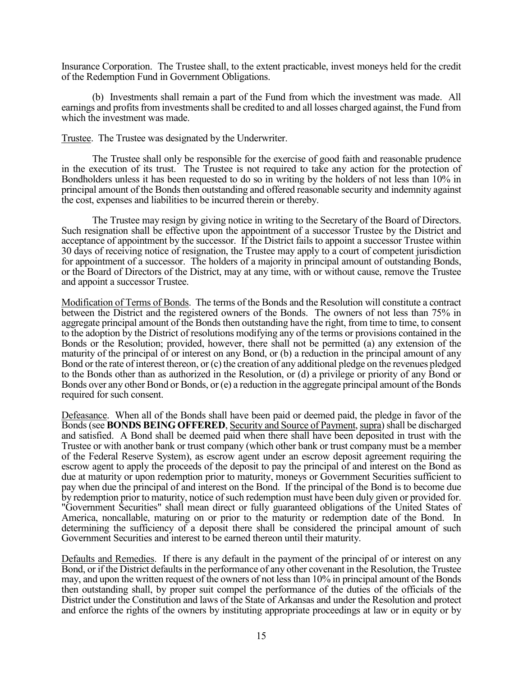Insurance Corporation. The Trustee shall, to the extent practicable, invest moneys held for the credit of the Redemption Fund in Government Obligations.

 (b) Investments shall remain a part of the Fund from which the investment was made. All earnings and profits from investments shall be credited to and all losses charged against, the Fund from which the investment was made.

Trustee. The Trustee was designated by the Underwriter.

 The Trustee shall only be responsible for the exercise of good faith and reasonable prudence in the execution of its trust. The Trustee is not required to take any action for the protection of Bondholders unless it has been requested to do so in writing by the holders of not less than 10% in principal amount of the Bonds then outstanding and offered reasonable security and indemnity against the cost, expenses and liabilities to be incurred therein or thereby.

 The Trustee may resign by giving notice in writing to the Secretary of the Board of Directors. Such resignation shall be effective upon the appointment of a successor Trustee by the District and acceptance of appointment by the successor. If the District fails to appoint a successor Trustee within 30 days of receiving notice of resignation, the Trustee may apply to a court of competent jurisdiction for appointment of a successor. The holders of a majority in principal amount of outstanding Bonds, or the Board of Directors of the District, may at any time, with or without cause, remove the Trustee and appoint a successor Trustee.

Modification of Terms of Bonds. The terms of the Bonds and the Resolution will constitute a contract between the District and the registered owners of the Bonds. The owners of not less than 75% in aggregate principal amount of the Bonds then outstanding have the right, from time to time, to consent to the adoption by the District of resolutions modifying any of the terms or provisions contained in the Bonds or the Resolution; provided, however, there shall not be permitted (a) any extension of the maturity of the principal of or interest on any Bond, or (b) a reduction in the principal amount of any Bond or the rate of interest thereon, or (c) the creation of any additional pledge on the revenues pledged to the Bonds other than as authorized in the Resolution, or (d) a privilege or priority of any Bond or Bonds over any other Bond or Bonds, or (e) a reduction in the aggregate principal amount of the Bonds required for such consent.

Defeasance. When all of the Bonds shall have been paid or deemed paid, the pledge in favor of the Bonds (see **BONDS BEING OFFERED**, Security and Source of Payment, supra) shall be discharged and satisfied. A Bond shall be deemed paid when there shall have been deposited in trust with the Trustee or with another bank or trust company (which other bank or trust company must be a member of the Federal Reserve System), as escrow agent under an escrow deposit agreement requiring the escrow agent to apply the proceeds of the deposit to pay the principal of and interest on the Bond as due at maturity or upon redemption prior to maturity, moneys or Government Securities sufficient to pay when due the principal of and interest on the Bond. If the principal of the Bond is to become due by redemption prior to maturity, notice of such redemption must have been duly given or provided for. "Government Securities" shall mean direct or fully guaranteed obligations of the United States of America, noncallable, maturing on or prior to the maturity or redemption date of the Bond. In determining the sufficiency of a deposit there shall be considered the principal amount of such Government Securities and interest to be earned thereon until their maturity.

Defaults and Remedies. If there is any default in the payment of the principal of or interest on any Bond, or if the District defaults in the performance of any other covenant in the Resolution, the Trustee may, and upon the written request of the owners of not less than 10% in principal amount of the Bonds then outstanding shall, by proper suit compel the performance of the duties of the officials of the District under the Constitution and laws of the State of Arkansas and under the Resolution and protect and enforce the rights of the owners by instituting appropriate proceedings at law or in equity or by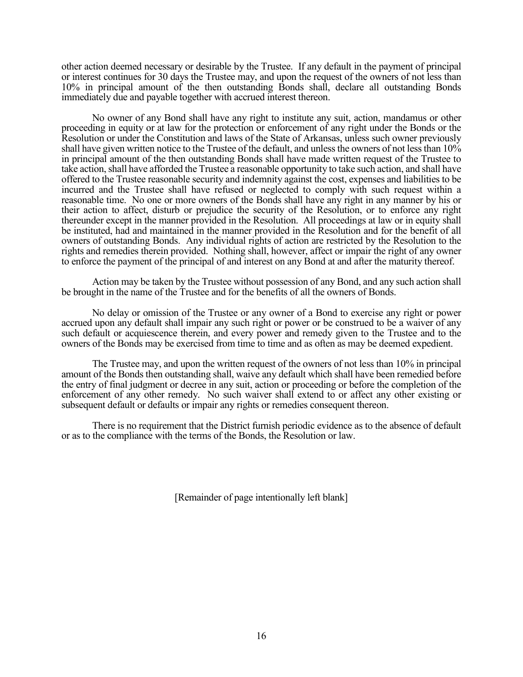other action deemed necessary or desirable by the Trustee. If any default in the payment of principal or interest continues for 30 days the Trustee may, and upon the request of the owners of not less than 10% in principal amount of the then outstanding Bonds shall, declare all outstanding Bonds immediately due and payable together with accrued interest thereon.

 No owner of any Bond shall have any right to institute any suit, action, mandamus or other proceeding in equity or at law for the protection or enforcement of any right under the Bonds or the Resolution or under the Constitution and laws of the State of Arkansas, unless such owner previously shall have given written notice to the Trustee of the default, and unless the owners of not less than 10% in principal amount of the then outstanding Bonds shall have made written request of the Trustee to take action, shall have afforded the Trustee a reasonable opportunity to take such action, and shall have offered to the Trustee reasonable security and indemnity against the cost, expenses and liabilities to be incurred and the Trustee shall have refused or neglected to comply with such request within a reasonable time. No one or more owners of the Bonds shall have any right in any manner by his or their action to affect, disturb or prejudice the security of the Resolution, or to enforce any right thereunder except in the manner provided in the Resolution. All proceedings at law or in equity shall be instituted, had and maintained in the manner provided in the Resolution and for the benefit of all owners of outstanding Bonds. Any individual rights of action are restricted by the Resolution to the rights and remedies therein provided. Nothing shall, however, affect or impair the right of any owner to enforce the payment of the principal of and interest on any Bond at and after the maturity thereof.

 Action may be taken by the Trustee without possession of any Bond, and any such action shall be brought in the name of the Trustee and for the benefits of all the owners of Bonds.

 No delay or omission of the Trustee or any owner of a Bond to exercise any right or power accrued upon any default shall impair any such right or power or be construed to be a waiver of any such default or acquiescence therein, and every power and remedy given to the Trustee and to the owners of the Bonds may be exercised from time to time and as often as may be deemed expedient.

 The Trustee may, and upon the written request of the owners of not less than 10% in principal amount of the Bonds then outstanding shall, waive any default which shall have been remedied before the entry of final judgment or decree in any suit, action or proceeding or before the completion of the enforcement of any other remedy. No such waiver shall extend to or affect any other existing or subsequent default or defaults or impair any rights or remedies consequent thereon.

 There is no requirement that the District furnish periodic evidence as to the absence of default or as to the compliance with the terms of the Bonds, the Resolution or law.

[Remainder of page intentionally left blank]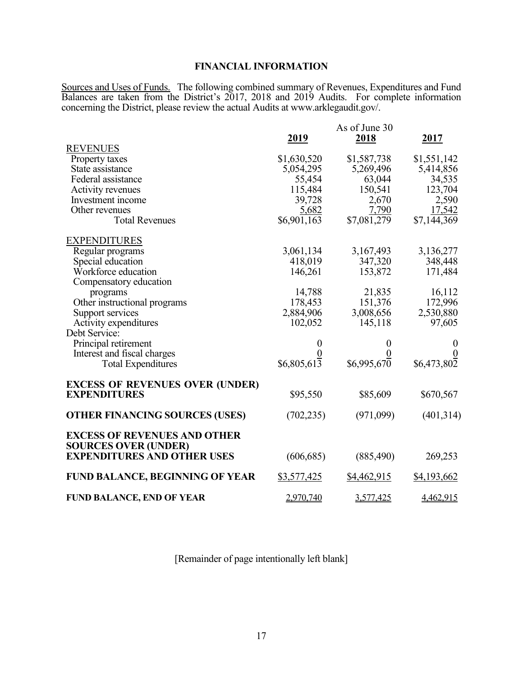# **FINANCIAL INFORMATION**

Sources and Uses of Funds. The following combined summary of Revenues, Expenditures and Fund Balances are taken from the District's 2017, 2018 and 2019 Audits. For complete information concerning the District, please review the actual Audits at www.arklegaudit.gov/.

|                                                                    | 2019        | As of June 30<br>2018 | 2017             |
|--------------------------------------------------------------------|-------------|-----------------------|------------------|
| <b>REVENUES</b>                                                    |             |                       |                  |
| Property taxes                                                     | \$1,630,520 | \$1,587,738           | \$1,551,142      |
| State assistance                                                   | 5,054,295   | 5,269,496             | 5,414,856        |
| Federal assistance                                                 | 55,454      | 63,044                | 34,535           |
| Activity revenues                                                  | 115,484     | 150,541               | 123,704          |
| Investment income                                                  | 39,728      | 2,670                 | 2,590            |
| Other revenues                                                     | 5,682       | 7,790                 | 17,542           |
| <b>Total Revenues</b>                                              | \$6,901,163 | \$7,081,279           | \$7,144,369      |
| <b>EXPENDITURES</b>                                                |             |                       |                  |
| Regular programs                                                   | 3,061,134   | 3,167,493             | 3,136,277        |
| Special education                                                  | 418,019     | 347,320               | 348,448          |
| Workforce education                                                | 146,261     | 153,872               | 171,484          |
| Compensatory education                                             |             |                       |                  |
| programs                                                           | 14,788      | 21,835                | 16,112           |
| Other instructional programs                                       | 178,453     | 151,376               | 172,996          |
| Support services                                                   | 2,884,906   | 3,008,656             | 2,530,880        |
| Activity expenditures                                              | 102,052     | 145,118               | 97,605           |
| Debt Service:                                                      |             |                       |                  |
| Principal retirement                                               | 0           | 0                     | $\theta$         |
| Interest and fiscal charges                                        |             |                       | $\boldsymbol{0}$ |
| <b>Total Expenditures</b>                                          | \$6,805,613 | \$6,995,670           | \$6,473,802      |
| <b>EXCESS OF REVENUES OVER (UNDER)</b><br><b>EXPENDITURES</b>      | \$95,550    | \$85,609              | \$670,567        |
| <b>OTHER FINANCING SOURCES (USES)</b>                              | (702, 235)  | (971,099)             | (401, 314)       |
| <b>EXCESS OF REVENUES AND OTHER</b><br><b>SOURCES OVER (UNDER)</b> |             |                       |                  |
| <b>EXPENDITURES AND OTHER USES</b>                                 | (606, 685)  | (885, 490)            | 269,253          |
| FUND BALANCE, BEGINNING OF YEAR                                    | \$3,577,425 | \$4,462,915           | \$4,193,662      |
| FUND BALANCE, END OF YEAR                                          | 2,970,740   | 3,577,425             | 4,462,915        |

[Remainder of page intentionally left blank]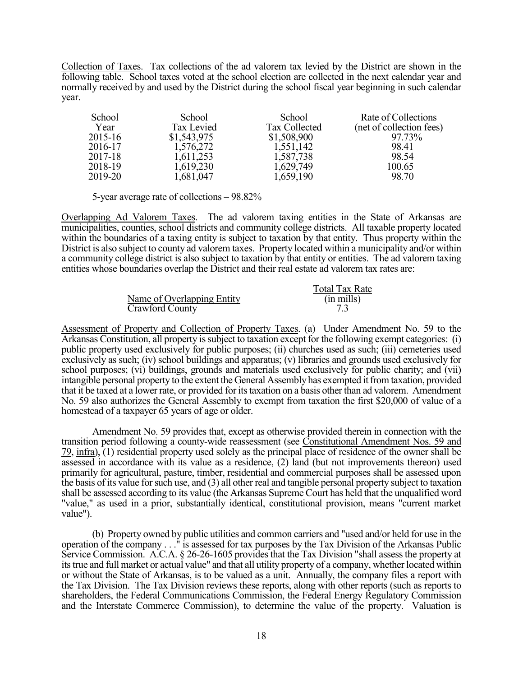Collection of Taxes. Tax collections of the ad valorem tax levied by the District are shown in the following table. School taxes voted at the school election are collected in the next calendar year and normally received by and used by the District during the school fiscal year beginning in such calendar year.

| School  | School      | School        | Rate of Collections      |
|---------|-------------|---------------|--------------------------|
| Year    | Tax Levied  | Tax Collected | (net of collection fees) |
| 2015-16 | \$1,543,975 | \$1,508,900   | 97.73%                   |
| 2016-17 | 1,576,272   | 1,551,142     | 98.41                    |
| 2017-18 | 1,611,253   | 1,587,738     | 98.54                    |
| 2018-19 | 1,619,230   | 1,629,749     | 100.65                   |
| 2019-20 | 1,681,047   | 1,659,190     | 98.70                    |

5-year average rate of collections – 98.82%

Overlapping Ad Valorem Taxes. The ad valorem taxing entities in the State of Arkansas are municipalities, counties, school districts and community college districts. All taxable property located within the boundaries of a taxing entity is subject to taxation by that entity. Thus property within the District is also subject to county ad valorem taxes. Property located within a municipality and/or within a community college district is also subject to taxation by that entity or entities. The ad valorem taxing entities whose boundaries overlap the District and their real estate ad valorem tax rates are:

|                            | <b>Total Tax Rate</b> |
|----------------------------|-----------------------|
| Name of Overlapping Entity | $(in \, mills)$       |
| Crawford County            |                       |

Assessment of Property and Collection of Property Taxes. (a) Under Amendment No. 59 to the Arkansas Constitution, all property is subject to taxation except for the following exempt categories: (i) public property used exclusively for public purposes; (ii) churches used as such; (iii) cemeteries used exclusively as such; (iv) school buildings and apparatus; (v) libraries and grounds used exclusively for school purposes; (vi) buildings, grounds and materials used exclusively for public charity; and (vii) intangible personal property to the extent the General Assembly has exempted it from taxation, provided that it be taxed at a lower rate, or provided for its taxation on a basis other than ad valorem. Amendment No. 59 also authorizes the General Assembly to exempt from taxation the first \$20,000 of value of a homestead of a taxpayer 65 years of age or older.

 Amendment No. 59 provides that, except as otherwise provided therein in connection with the transition period following a county-wide reassessment (see Constitutional Amendment Nos. 59 and  $79$ , infra), (1) residential property used solely as the principal place of residence of the owner shall be assessed in accordance with its value as a residence, (2) land (but not improvements thereon) used primarily for agricultural, pasture, timber, residential and commercial purposes shall be assessed upon the basis of its value for such use, and (3) all other real and tangible personal property subject to taxation shall be assessed according to its value (the Arkansas Supreme Court has held that the unqualified word "value," as used in a prior, substantially identical, constitutional provision, means "current market value").

 (b) Property owned by public utilities and common carriers and "used and/or held for use in the operation of the company . . ." is assessed for tax purposes by the Tax Division of the Arkansas Public Service Commission. A.C.A. § 26-26-1605 provides that the Tax Division "shall assess the property at its true and full market or actual value" and that all utility property of a company, whether located within or without the State of Arkansas, is to be valued as a unit. Annually, the company files a report with the Tax Division. The Tax Division reviews these reports, along with other reports (such as reports to shareholders, the Federal Communications Commission, the Federal Energy Regulatory Commission and the Interstate Commerce Commission), to determine the value of the property. Valuation is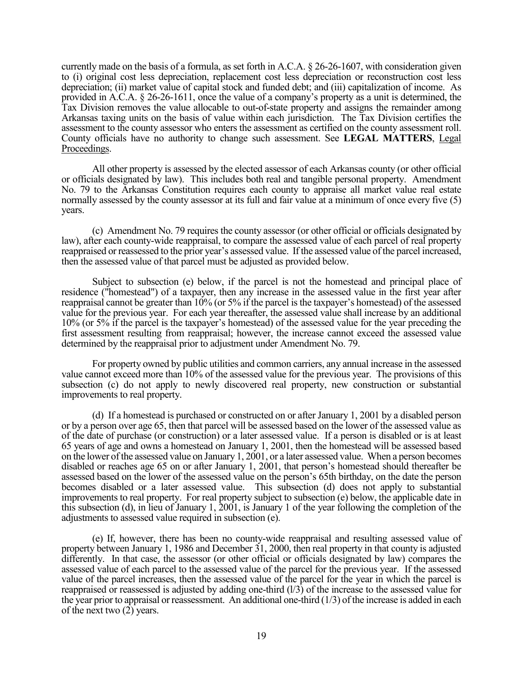currently made on the basis of a formula, as set forth in A.C.A. § 26-26-1607, with consideration given to (i) original cost less depreciation, replacement cost less depreciation or reconstruction cost less depreciation; (ii) market value of capital stock and funded debt; and (iii) capitalization of income. As provided in A.C.A. § 26-26-1611, once the value of a company's property as a unit is determined, the Tax Division removes the value allocable to out-of-state property and assigns the remainder among Arkansas taxing units on the basis of value within each jurisdiction. The Tax Division certifies the assessment to the county assessor who enters the assessment as certified on the county assessment roll. County officials have no authority to change such assessment. See **LEGAL MATTERS**, Legal Proceedings.

 All other property is assessed by the elected assessor of each Arkansas county (or other official or officials designated by law). This includes both real and tangible personal property. Amendment No. 79 to the Arkansas Constitution requires each county to appraise all market value real estate normally assessed by the county assessor at its full and fair value at a minimum of once every five (5) years.

 (c) Amendment No. 79 requires the county assessor (or other official or officials designated by law), after each county-wide reappraisal, to compare the assessed value of each parcel of real property reappraised or reassessed to the prior year's assessed value. If the assessed value of the parcel increased, then the assessed value of that parcel must be adjusted as provided below.

 Subject to subsection (e) below, if the parcel is not the homestead and principal place of residence ("homestead") of a taxpayer, then any increase in the assessed value in the first year after reappraisal cannot be greater than 10% (or 5% if the parcel is the taxpayer's homestead) of the assessed value for the previous year. For each year thereafter, the assessed value shall increase by an additional 10% (or 5% if the parcel is the taxpayer's homestead) of the assessed value for the year preceding the first assessment resulting from reappraisal; however, the increase cannot exceed the assessed value determined by the reappraisal prior to adjustment under Amendment No. 79.

 For property owned by public utilities and common carriers, any annual increase in the assessed value cannot exceed more than 10% of the assessed value for the previous year. The provisions of this subsection (c) do not apply to newly discovered real property, new construction or substantial improvements to real property.

 (d) If a homestead is purchased or constructed on or after January 1, 2001 by a disabled person or by a person over age 65, then that parcel will be assessed based on the lower of the assessed value as of the date of purchase (or construction) or a later assessed value. If a person is disabled or is at least 65 years of age and owns a homestead on January 1, 2001, then the homestead will be assessed based on the lower of the assessed value on January 1, 2001, or a later assessed value. When a person becomes disabled or reaches age 65 on or after January 1, 2001, that person's homestead should thereafter be assessed based on the lower of the assessed value on the person's 65th birthday, on the date the person becomes disabled or a later assessed value. This subsection (d) does not apply to substantial improvements to real property. For real property subject to subsection (e) below, the applicable date in this subsection (d), in lieu of January 1, 2001, is January 1 of the year following the completion of the adjustments to assessed value required in subsection (e).

 (e) If, however, there has been no county-wide reappraisal and resulting assessed value of property between January 1, 1986 and December 31, 2000, then real property in that county is adjusted differently. In that case, the assessor (or other official or officials designated by law) compares the assessed value of each parcel to the assessed value of the parcel for the previous year. If the assessed value of the parcel increases, then the assessed value of the parcel for the year in which the parcel is reappraised or reassessed is adjusted by adding one-third (l/3) of the increase to the assessed value for the year prior to appraisal or reassessment. An additional one-third  $(1/3)$  of the increase is added in each of the next two (2) years.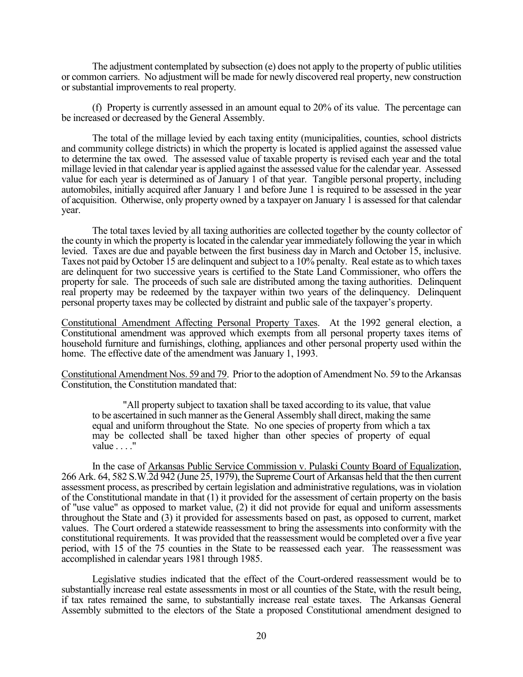The adjustment contemplated by subsection (e) does not apply to the property of public utilities or common carriers. No adjustment will be made for newly discovered real property, new construction or substantial improvements to real property.

 (f) Property is currently assessed in an amount equal to 20% of its value. The percentage can be increased or decreased by the General Assembly.

 The total of the millage levied by each taxing entity (municipalities, counties, school districts and community college districts) in which the property is located is applied against the assessed value to determine the tax owed. The assessed value of taxable property is revised each year and the total millage levied in that calendar year is applied against the assessed value for the calendar year. Assessed value for each year is determined as of January 1 of that year. Tangible personal property, including automobiles, initially acquired after January 1 and before June 1 is required to be assessed in the year of acquisition. Otherwise, only property owned by a taxpayer on January 1 is assessed for that calendar year.

The total taxes levied by all taxing authorities are collected together by the county collector of the county in which the property is located in the calendar year immediately following the year in which levied. Taxes are due and payable between the first business day in March and October 15, inclusive. Taxes not paid by October 15 are delinquent and subject to a 10% penalty. Real estate as to which taxes are delinquent for two successive years is certified to the State Land Commissioner, who offers the property for sale. The proceeds of such sale are distributed among the taxing authorities. Delinquent real property may be redeemed by the taxpayer within two years of the delinquency. Delinquent personal property taxes may be collected by distraint and public sale of the taxpayer's property.

Constitutional Amendment Affecting Personal Property Taxes. At the 1992 general election, a Constitutional amendment was approved which exempts from all personal property taxes items of household furniture and furnishings, clothing, appliances and other personal property used within the home. The effective date of the amendment was January 1, 1993.

Constitutional Amendment Nos. 59 and 79. Prior to the adoption of Amendment No. 59 to the Arkansas Constitution, the Constitution mandated that:

"All property subject to taxation shall be taxed according to its value, that value to be ascertained in such manner as the General Assembly shall direct, making the same equal and uniform throughout the State. No one species of property from which a tax may be collected shall be taxed higher than other species of property of equal value . . . ."

 In the case of Arkansas Public Service Commission v. Pulaski County Board of Equalization, 266 Ark. 64, 582 S.W.2d 942 (June 25, 1979), the Supreme Court of Arkansas held that the then current assessment process, as prescribed by certain legislation and administrative regulations, was in violation of the Constitutional mandate in that (1) it provided for the assessment of certain property on the basis of "use value" as opposed to market value, (2) it did not provide for equal and uniform assessments throughout the State and (3) it provided for assessments based on past, as opposed to current, market values. The Court ordered a statewide reassessment to bring the assessments into conformity with the constitutional requirements. It was provided that the reassessment would be completed over a five year period, with 15 of the 75 counties in the State to be reassessed each year. The reassessment was accomplished in calendar years 1981 through 1985.

 Legislative studies indicated that the effect of the Court-ordered reassessment would be to substantially increase real estate assessments in most or all counties of the State, with the result being, if tax rates remained the same, to substantially increase real estate taxes. The Arkansas General Assembly submitted to the electors of the State a proposed Constitutional amendment designed to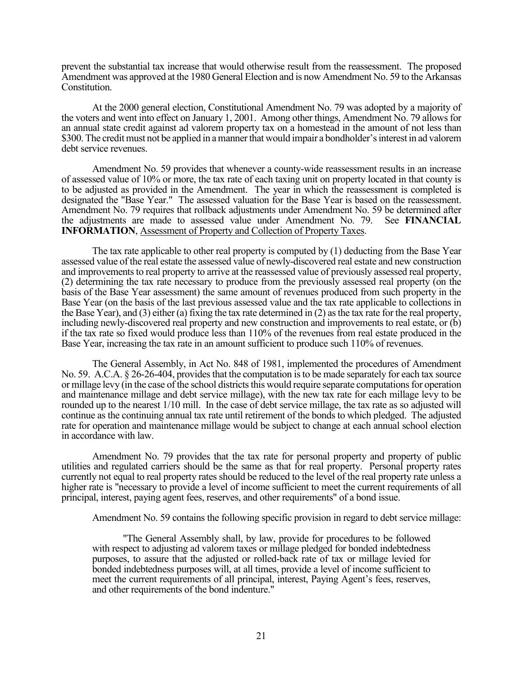prevent the substantial tax increase that would otherwise result from the reassessment. The proposed Amendment was approved at the 1980 General Election and is now Amendment No. 59 to the Arkansas Constitution.

 At the 2000 general election, Constitutional Amendment No. 79 was adopted by a majority of the voters and went into effect on January 1, 2001. Among other things, Amendment No. 79 allows for an annual state credit against ad valorem property tax on a homestead in the amount of not less than \$300. The credit must not be applied in a manner that would impair a bondholder's interest in ad valorem debt service revenues.

 Amendment No. 59 provides that whenever a county-wide reassessment results in an increase of assessed value of 10% or more, the tax rate of each taxing unit on property located in that county is to be adjusted as provided in the Amendment. The year in which the reassessment is completed is designated the "Base Year." The assessed valuation for the Base Year is based on the reassessment. Amendment No. 79 requires that rollback adjustments under Amendment No. 59 be determined after the adjustments are made to assessed value under Amendment No. 79. See **FINANCIAL INFORMATION**, Assessment of Property and Collection of Property Taxes.

 The tax rate applicable to other real property is computed by (1) deducting from the Base Year assessed value of the real estate the assessed value of newly-discovered real estate and new construction and improvements to real property to arrive at the reassessed value of previously assessed real property, (2) determining the tax rate necessary to produce from the previously assessed real property (on the basis of the Base Year assessment) the same amount of revenues produced from such property in the Base Year (on the basis of the last previous assessed value and the tax rate applicable to collections in the Base Year), and (3) either (a) fixing the tax rate determined in (2) as the tax rate for the real property, including newly-discovered real property and new construction and improvements to real estate, or (b) if the tax rate so fixed would produce less than 110% of the revenues from real estate produced in the Base Year, increasing the tax rate in an amount sufficient to produce such 110% of revenues.

 The General Assembly, in Act No. 848 of 1981, implemented the procedures of Amendment No. 59. A.C.A. § 26-26-404, provides that the computation is to be made separately for each tax source or millage levy (in the case of the school districts this would require separate computations for operation and maintenance millage and debt service millage), with the new tax rate for each millage levy to be rounded up to the nearest  $1/10$  mill. In the case of debt service millage, the tax rate as so adjusted will continue as the continuing annual tax rate until retirement of the bonds to which pledged. The adjusted rate for operation and maintenance millage would be subject to change at each annual school election in accordance with law.

 Amendment No. 79 provides that the tax rate for personal property and property of public utilities and regulated carriers should be the same as that for real property. Personal property rates currently not equal to real property rates should be reduced to the level of the real property rate unless a higher rate is "necessary to provide a level of income sufficient to meet the current requirements of all principal, interest, paying agent fees, reserves, and other requirements" of a bond issue.

Amendment No. 59 contains the following specific provision in regard to debt service millage:

"The General Assembly shall, by law, provide for procedures to be followed with respect to adjusting ad valorem taxes or millage pledged for bonded indebtedness purposes, to assure that the adjusted or rolled-back rate of tax or millage levied for bonded indebtedness purposes will, at all times, provide a level of income sufficient to meet the current requirements of all principal, interest, Paying Agent's fees, reserves, and other requirements of the bond indenture."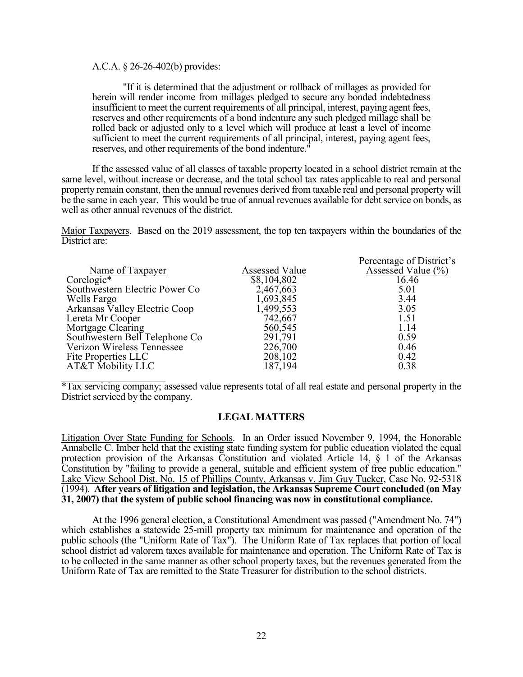A.C.A. § 26-26-402(b) provides:

"If it is determined that the adjustment or rollback of millages as provided for herein will render income from millages pledged to secure any bonded indebtedness insufficient to meet the current requirements of all principal, interest, paying agent fees, reserves and other requirements of a bond indenture any such pledged millage shall be rolled back or adjusted only to a level which will produce at least a level of income sufficient to meet the current requirements of all principal, interest, paying agent fees, reserves, and other requirements of the bond indenture."

 If the assessed value of all classes of taxable property located in a school district remain at the same level, without increase or decrease, and the total school tax rates applicable to real and personal property remain constant, then the annual revenues derived from taxable real and personal property will be the same in each year. This would be true of annual revenues available for debt service on bonds, as well as other annual revenues of the district.

Major Taxpayers. Based on the 2019 assessment, the top ten taxpayers within the boundaries of the District are:

|                                |                       | Percentage of District's       |
|--------------------------------|-----------------------|--------------------------------|
| Name of Taxpayer               | <b>Assessed Value</b> | Assessed Value $(\frac{6}{6})$ |
| $Corelogic*$                   | \$8,104,802           | 16.46                          |
| Southwestern Electric Power Co | 2,467,663             | 5.01                           |
| Wells Fargo                    | 1,693,845             | 3.44                           |
| Arkansas Valley Electric Coop  | 1,499,553             | 3.05                           |
| Lereta Mr Cooper               | 742,667               | 1.51                           |
| Mortgage Clearing              | 560,545               | 1.14                           |
| Southwestern Bell Telephone Co | 291,791               | 0.59                           |
| Verizon Wireless Tennessee     | 226,700               | 0.46                           |
| Fite Properties LLC            | 208,102               | 0.42                           |
| AT&T Mobility LLC              | 187,194               | 0.38                           |
|                                |                       |                                |

\*Tax servicing company; assessed value represents total of all real estate and personal property in the District serviced by the company.

## **LEGAL MATTERS**

Litigation Over State Funding for Schools. In an Order issued November 9, 1994, the Honorable Annabelle C. Imber held that the existing state funding system for public education violated the equal protection provision of the Arkansas Constitution and violated Article 14, § 1 of the Arkansas Constitution by "failing to provide a general, suitable and efficient system of free public education." Lake View School Dist. No. 15 of Phillips County, Arkansas v. Jim Guy Tucker, Case No. 92-5318 (1994). **After years of litigation and legislation, the Arkansas Supreme Court concluded (on May 31, 2007) that the system of public school financing was now in constitutional compliance.**

 At the 1996 general election, a Constitutional Amendment was passed ("Amendment No. 74") which establishes a statewide 25-mill property tax minimum for maintenance and operation of the public schools (the "Uniform Rate of Tax"). The Uniform Rate of Tax replaces that portion of local school district ad valorem taxes available for maintenance and operation. The Uniform Rate of Tax is to be collected in the same manner as other school property taxes, but the revenues generated from the Uniform Rate of Tax are remitted to the State Treasurer for distribution to the school districts.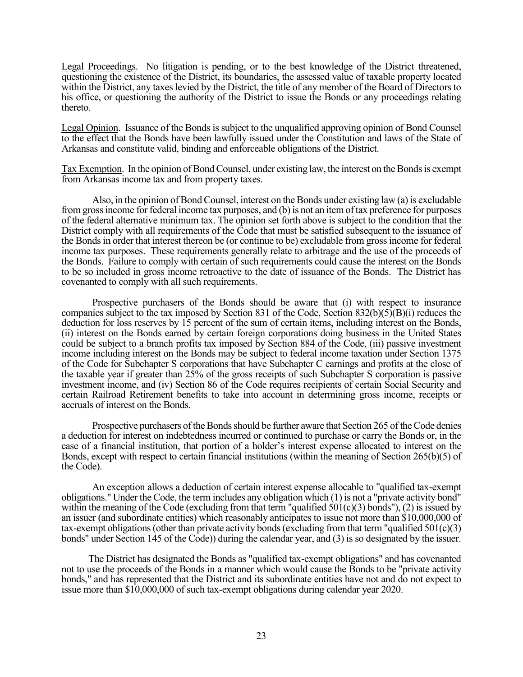Legal Proceedings. No litigation is pending, or to the best knowledge of the District threatened, questioning the existence of the District, its boundaries, the assessed value of taxable property located within the District, any taxes levied by the District, the title of any member of the Board of Directors to his office, or questioning the authority of the District to issue the Bonds or any proceedings relating thereto.

Legal Opinion. Issuance of the Bonds is subject to the unqualified approving opinion of Bond Counsel to the effect that the Bonds have been lawfully issued under the Constitution and laws of the State of Arkansas and constitute valid, binding and enforceable obligations of the District.

Tax Exemption. In the opinion of Bond Counsel, under existing law, the interest on the Bonds is exempt from Arkansas income tax and from property taxes.

 Also, in the opinion of Bond Counsel, interest on the Bonds under existing law (a) is excludable from gross income for federal income tax purposes, and (b) is not an item of tax preference for purposes of the federal alternative minimum tax. The opinion set forth above is subject to the condition that the District comply with all requirements of the Code that must be satisfied subsequent to the issuance of the Bonds in order that interest thereon be (or continue to be) excludable from gross income for federal income tax purposes. These requirements generally relate to arbitrage and the use of the proceeds of the Bonds. Failure to comply with certain of such requirements could cause the interest on the Bonds to be so included in gross income retroactive to the date of issuance of the Bonds. The District has covenanted to comply with all such requirements.

 Prospective purchasers of the Bonds should be aware that (i) with respect to insurance companies subject to the tax imposed by Section 831 of the Code, Section  $832(b)(5)(B)(i)$  reduces the deduction for loss reserves by 15 percent of the sum of certain items, including interest on the Bonds, (ii) interest on the Bonds earned by certain foreign corporations doing business in the United States could be subject to a branch profits tax imposed by Section 884 of the Code, (iii) passive investment income including interest on the Bonds may be subject to federal income taxation under Section 1375 of the Code for Subchapter S corporations that have Subchapter C earnings and profits at the close of the taxable year if greater than 25% of the gross receipts of such Subchapter S corporation is passive investment income, and (iv) Section 86 of the Code requires recipients of certain Social Security and certain Railroad Retirement benefits to take into account in determining gross income, receipts or accruals of interest on the Bonds.

 Prospective purchasers of the Bonds should be further aware that Section 265 of the Code denies a deduction for interest on indebtedness incurred or continued to purchase or carry the Bonds or, in the case of a financial institution, that portion of a holder's interest expense allocated to interest on the Bonds, except with respect to certain financial institutions (within the meaning of Section 265(b)(5) of the Code).

 An exception allows a deduction of certain interest expense allocable to "qualified tax-exempt obligations." Under the Code, the term includes any obligation which (1) is not a "private activity bond" within the meaning of the Code (excluding from that term "qualified  $501(c)(3)$  bonds"), (2) is issued by an issuer (and subordinate entities) which reasonably anticipates to issue not more than \$10,000,000 of tax-exempt obligations (other than private activity bonds (excluding from that term "qualified  $501(c)(3)$ ) bonds" under Section 145 of the Code)) during the calendar year, and (3) is so designated by the issuer.

The District has designated the Bonds as "qualified tax-exempt obligations" and has covenanted not to use the proceeds of the Bonds in a manner which would cause the Bonds to be "private activity bonds," and has represented that the District and its subordinate entities have not and do not expect to issue more than \$10,000,000 of such tax-exempt obligations during calendar year 2020.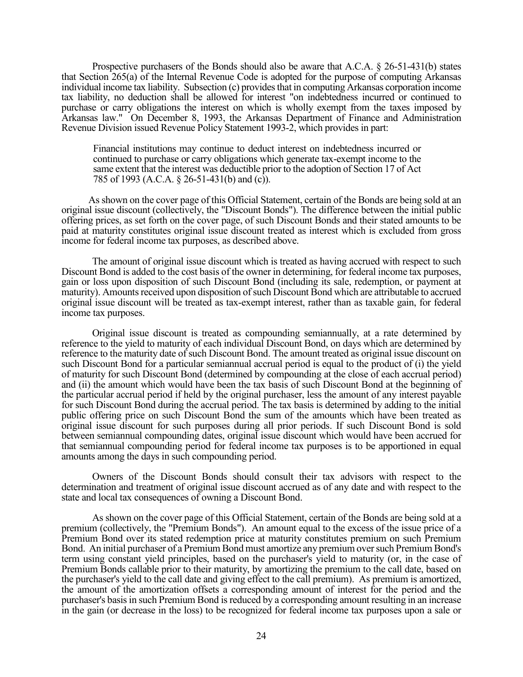Prospective purchasers of the Bonds should also be aware that A.C.A. § 26-51-431(b) states that Section 265(a) of the Internal Revenue Code is adopted for the purpose of computing Arkansas individual income tax liability. Subsection (c) provides that in computing Arkansas corporation income tax liability, no deduction shall be allowed for interest "on indebtedness incurred or continued to purchase or carry obligations the interest on which is wholly exempt from the taxes imposed by Arkansas law." On December 8, 1993, the Arkansas Department of Finance and Administration Revenue Division issued Revenue Policy Statement 1993-2, which provides in part:

Financial institutions may continue to deduct interest on indebtedness incurred or continued to purchase or carry obligations which generate tax-exempt income to the same extent that the interest was deductible prior to the adoption of Section 17 of Act 785 of 1993 (A.C.A. § 26-51-431(b) and (c)).

As shown on the cover page of this Official Statement, certain of the Bonds are being sold at an original issue discount (collectively, the "Discount Bonds"). The difference between the initial public offering prices, as set forth on the cover page, of such Discount Bonds and their stated amounts to be paid at maturity constitutes original issue discount treated as interest which is excluded from gross income for federal income tax purposes, as described above.

 The amount of original issue discount which is treated as having accrued with respect to such Discount Bond is added to the cost basis of the owner in determining, for federal income tax purposes, gain or loss upon disposition of such Discount Bond (including its sale, redemption, or payment at maturity). Amounts received upon disposition of such Discount Bond which are attributable to accrued original issue discount will be treated as tax-exempt interest, rather than as taxable gain, for federal income tax purposes.

 Original issue discount is treated as compounding semiannually, at a rate determined by reference to the yield to maturity of each individual Discount Bond, on days which are determined by reference to the maturity date of such Discount Bond. The amount treated as original issue discount on such Discount Bond for a particular semiannual accrual period is equal to the product of (i) the yield of maturity for such Discount Bond (determined by compounding at the close of each accrual period) and (ii) the amount which would have been the tax basis of such Discount Bond at the beginning of the particular accrual period if held by the original purchaser, less the amount of any interest payable for such Discount Bond during the accrual period. The tax basis is determined by adding to the initial public offering price on such Discount Bond the sum of the amounts which have been treated as original issue discount for such purposes during all prior periods. If such Discount Bond is sold between semiannual compounding dates, original issue discount which would have been accrued for that semiannual compounding period for federal income tax purposes is to be apportioned in equal amounts among the days in such compounding period.

 Owners of the Discount Bonds should consult their tax advisors with respect to the determination and treatment of original issue discount accrued as of any date and with respect to the state and local tax consequences of owning a Discount Bond.

 As shown on the cover page of this Official Statement, certain of the Bonds are being sold at a premium (collectively, the "Premium Bonds"). An amount equal to the excess of the issue price of a Premium Bond over its stated redemption price at maturity constitutes premium on such Premium Bond. An initial purchaser of a Premium Bond must amortize any premium over such Premium Bond's term using constant yield principles, based on the purchaser's yield to maturity (or, in the case of Premium Bonds callable prior to their maturity, by amortizing the premium to the call date, based on the purchaser's yield to the call date and giving effect to the call premium). As premium is amortized, the amount of the amortization offsets a corresponding amount of interest for the period and the purchaser's basis in such Premium Bond is reduced by a corresponding amount resulting in an increase in the gain (or decrease in the loss) to be recognized for federal income tax purposes upon a sale or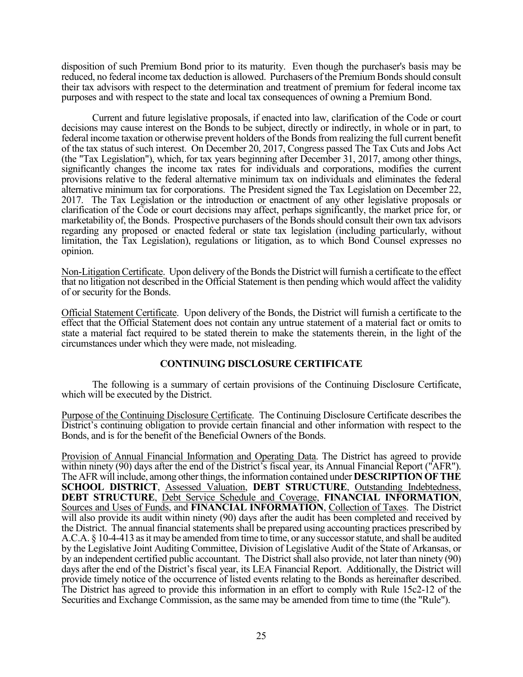disposition of such Premium Bond prior to its maturity. Even though the purchaser's basis may be reduced, no federal income tax deduction is allowed. Purchasers of the Premium Bonds should consult their tax advisors with respect to the determination and treatment of premium for federal income tax purposes and with respect to the state and local tax consequences of owning a Premium Bond.

 Current and future legislative proposals, if enacted into law, clarification of the Code or court decisions may cause interest on the Bonds to be subject, directly or indirectly, in whole or in part, to federal income taxation or otherwise prevent holders of the Bonds from realizing the full current benefit of the tax status of such interest. On December 20, 2017, Congress passed The Tax Cuts and Jobs Act (the "Tax Legislation"), which, for tax years beginning after December 31, 2017, among other things, significantly changes the income tax rates for individuals and corporations, modifies the current provisions relative to the federal alternative minimum tax on individuals and eliminates the federal alternative minimum tax for corporations. The President signed the Tax Legislation on December 22, 2017. The Tax Legislation or the introduction or enactment of any other legislative proposals or clarification of the Code or court decisions may affect, perhaps significantly, the market price for, or marketability of, the Bonds. Prospective purchasers of the Bonds should consult their own tax advisors regarding any proposed or enacted federal or state tax legislation (including particularly, without limitation, the Tax Legislation), regulations or litigation, as to which Bond Counsel expresses no opinion.

Non-Litigation Certificate. Upon delivery of the Bonds the District will furnish a certificate to the effect that no litigation not described in the Official Statement is then pending which would affect the validity of or security for the Bonds.

Official Statement Certificate. Upon delivery of the Bonds, the District will furnish a certificate to the effect that the Official Statement does not contain any untrue statement of a material fact or omits to state a material fact required to be stated therein to make the statements therein, in the light of the circumstances under which they were made, not misleading.

# **CONTINUING DISCLOSURE CERTIFICATE**

 The following is a summary of certain provisions of the Continuing Disclosure Certificate, which will be executed by the District.

Purpose of the Continuing Disclosure Certificate. The Continuing Disclosure Certificate describes the District's continuing obligation to provide certain financial and other information with respect to the Bonds, and is for the benefit of the Beneficial Owners of the Bonds.

Provision of Annual Financial Information and Operating Data. The District has agreed to provide within ninety (90) days after the end of the District's fiscal year, its Annual Financial Report ("AFR"). The AFR will include, among other things, the information contained under **DESCRIPTION OF THE SCHOOL DISTRICT**, Assessed Valuation, **DEBT STRUCTURE**, Outstanding Indebtedness, **DEBT STRUCTURE**, Debt Service Schedule and Coverage, **FINANCIAL INFORMATION**, Sources and Uses of Funds, and **FINANCIAL INFORMATION**, Collection of Taxes. The District will also provide its audit within ninety (90) days after the audit has been completed and received by the District. The annual financial statements shall be prepared using accounting practices prescribed by A.C.A. § 10-4-413 as it may be amended from time to time, or any successor statute, and shall be audited by the Legislative Joint Auditing Committee, Division of Legislative Audit of the State of Arkansas, or by an independent certified public accountant. The District shall also provide, not later than ninety (90) days after the end of the District's fiscal year, its LEA Financial Report. Additionally, the District will provide timely notice of the occurrence of listed events relating to the Bonds as hereinafter described. The District has agreed to provide this information in an effort to comply with Rule 15c2-12 of the Securities and Exchange Commission, as the same may be amended from time to time (the "Rule").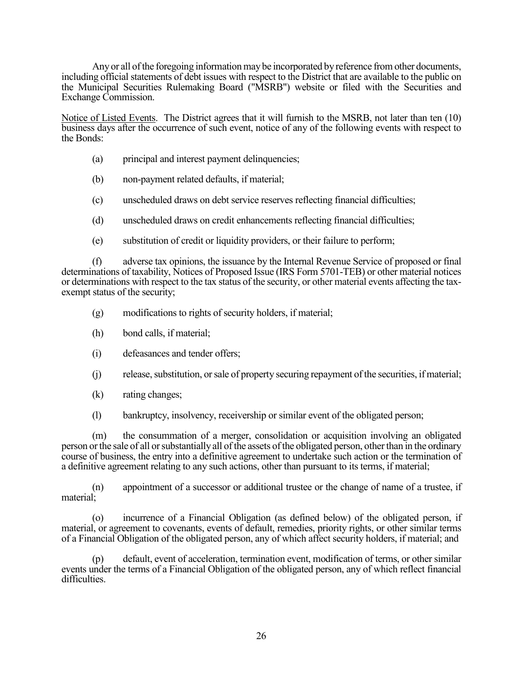Any or all of the foregoing information may be incorporated by reference from other documents, including official statements of debt issues with respect to the District that are available to the public on the Municipal Securities Rulemaking Board ("MSRB") website or filed with the Securities and Exchange Commission.

Notice of Listed Events. The District agrees that it will furnish to the MSRB, not later than ten (10) business days after the occurrence of such event, notice of any of the following events with respect to the Bonds:

- (a) principal and interest payment delinquencies;
- (b) non-payment related defaults, if material;
- (c) unscheduled draws on debt service reserves reflecting financial difficulties;
- (d) unscheduled draws on credit enhancements reflecting financial difficulties;
- (e) substitution of credit or liquidity providers, or their failure to perform;

(f) adverse tax opinions, the issuance by the Internal Revenue Service of proposed or final determinations of taxability, Notices of Proposed Issue (IRS Form 5701-TEB) or other material notices or determinations with respect to the tax status of the security, or other material events affecting the taxexempt status of the security;

- (g) modifications to rights of security holders, if material;
- (h) bond calls, if material;
- (i) defeasances and tender offers;
- (j) release, substitution, or sale of property securing repayment of the securities, if material;
- (k) rating changes;
- (l) bankruptcy, insolvency, receivership or similar event of the obligated person;

(m) the consummation of a merger, consolidation or acquisition involving an obligated person or the sale of all or substantially all of the assets of the obligated person, other than in the ordinary course of business, the entry into a definitive agreement to undertake such action or the termination of a definitive agreement relating to any such actions, other than pursuant to its terms, if material;

(n) appointment of a successor or additional trustee or the change of name of a trustee, if material;

(o) incurrence of a Financial Obligation (as defined below) of the obligated person, if material, or agreement to covenants, events of default, remedies, priority rights, or other similar terms of a Financial Obligation of the obligated person, any of which affect security holders, if material; and

(p) default, event of acceleration, termination event, modification of terms, or other similar events under the terms of a Financial Obligation of the obligated person, any of which reflect financial difficulties.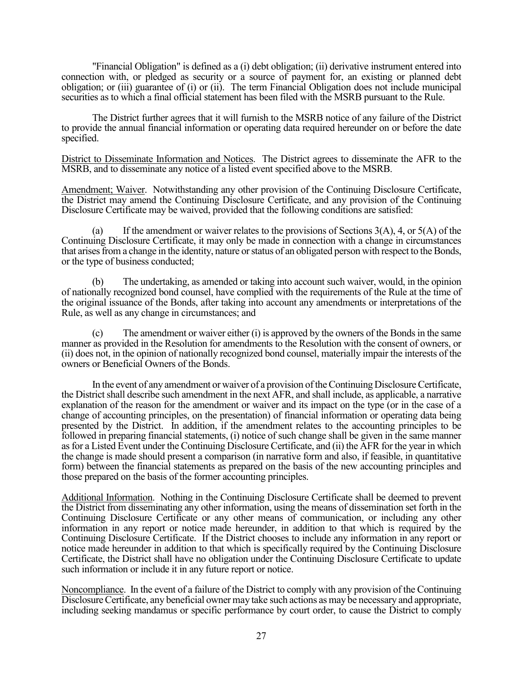"Financial Obligation" is defined as a (i) debt obligation; (ii) derivative instrument entered into connection with, or pledged as security or a source of payment for, an existing or planned debt obligation; or (iii) guarantee of (i) or (ii). The term Financial Obligation does not include municipal securities as to which a final official statement has been filed with the MSRB pursuant to the Rule.

 The District further agrees that it will furnish to the MSRB notice of any failure of the District to provide the annual financial information or operating data required hereunder on or before the date specified.

District to Disseminate Information and Notices. The District agrees to disseminate the AFR to the MSRB, and to disseminate any notice of a listed event specified above to the MSRB.

Amendment; Waiver. Notwithstanding any other provision of the Continuing Disclosure Certificate, the District may amend the Continuing Disclosure Certificate, and any provision of the Continuing Disclosure Certificate may be waived, provided that the following conditions are satisfied:

(a) If the amendment or waiver relates to the provisions of Sections  $3(A)$ , 4, or  $5(A)$  of the Continuing Disclosure Certificate, it may only be made in connection with a change in circumstances that arises from a change in the identity, nature or status of an obligated person with respect to the Bonds, or the type of business conducted;

 (b) The undertaking, as amended or taking into account such waiver, would, in the opinion of nationally recognized bond counsel, have complied with the requirements of the Rule at the time of the original issuance of the Bonds, after taking into account any amendments or interpretations of the Rule, as well as any change in circumstances; and

 (c) The amendment or waiver either (i) is approved by the owners of the Bonds in the same manner as provided in the Resolution for amendments to the Resolution with the consent of owners, or (ii) does not, in the opinion of nationally recognized bond counsel, materially impair the interests of the owners or Beneficial Owners of the Bonds.

 In the event of any amendment or waiver of a provision of the Continuing Disclosure Certificate, the District shall describe such amendment in the next AFR, and shall include, as applicable, a narrative explanation of the reason for the amendment or waiver and its impact on the type (or in the case of a change of accounting principles, on the presentation) of financial information or operating data being presented by the District. In addition, if the amendment relates to the accounting principles to be followed in preparing financial statements, (i) notice of such change shall be given in the same manner as for a Listed Event under the Continuing Disclosure Certificate, and (ii) the AFR for the year in which the change is made should present a comparison (in narrative form and also, if feasible, in quantitative form) between the financial statements as prepared on the basis of the new accounting principles and those prepared on the basis of the former accounting principles.

Additional Information. Nothing in the Continuing Disclosure Certificate shall be deemed to prevent the District from disseminating any other information, using the means of dissemination set forth in the Continuing Disclosure Certificate or any other means of communication, or including any other information in any report or notice made hereunder, in addition to that which is required by the Continuing Disclosure Certificate. If the District chooses to include any information in any report or notice made hereunder in addition to that which is specifically required by the Continuing Disclosure Certificate, the District shall have no obligation under the Continuing Disclosure Certificate to update such information or include it in any future report or notice.

Noncompliance. In the event of a failure of the District to comply with any provision of the Continuing Disclosure Certificate, any beneficial owner may take such actions as may be necessary and appropriate, including seeking mandamus or specific performance by court order, to cause the District to comply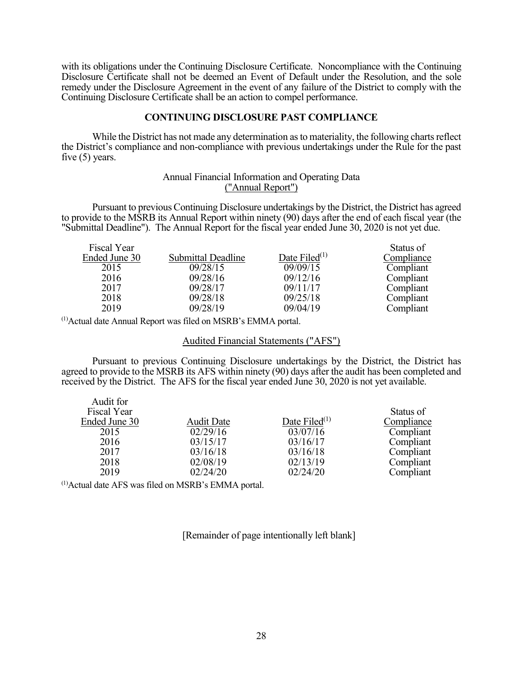with its obligations under the Continuing Disclosure Certificate. Noncompliance with the Continuing Disclosure Certificate shall not be deemed an Event of Default under the Resolution, and the sole remedy under the Disclosure Agreement in the event of any failure of the District to comply with the Continuing Disclosure Certificate shall be an action to compel performance.

## **CONTINUING DISCLOSURE PAST COMPLIANCE**

 While the District has not made any determination as to materiality, the following charts reflect the District's compliance and non-compliance with previous undertakings under the Rule for the past five (5) years.

# Annual Financial Information and Operating Data ("Annual Report")

Pursuant to previous Continuing Disclosure undertakings by the District, the District has agreed to provide to the MSRB its Annual Report within ninety (90) days after the end of each fiscal year (the "Submittal Deadline"). The Annual Report for the fiscal year ended June 30, 2020 is not yet due.

| Fiscal Year   |                    |                  | Status of  |
|---------------|--------------------|------------------|------------|
| Ended June 30 | Submittal Deadline | Date Filed $(1)$ | Compliance |
| 2015          | 09/28/15           | 09/09/15         | Compliant  |
| 2016          | 09/28/16           | 09/12/16         | Compliant  |
| 2017          | 09/28/17           | 09/11/17         | Compliant  |
| 2018          | 09/28/18           | 09/25/18         | Compliant  |
| 2019          | 09/28/19           | 09/04/19         | Compliant  |

(1)Actual date Annual Report was filed on MSRB's EMMA portal.

Audited Financial Statements ("AFS")

Pursuant to previous Continuing Disclosure undertakings by the District, the District has agreed to provide to the MSRB its AFS within ninety (90) days after the audit has been completed and received by the District. The AFS for the fiscal year ended June 30, 2020 is not yet available.

| Audit for          |                   |                  |            |
|--------------------|-------------------|------------------|------------|
| <b>Fiscal Year</b> |                   |                  | Status of  |
| Ended June 30      | <b>Audit Date</b> | Date Filed $(1)$ | Compliance |
| 2015               | 02/29/16          | 03/07/16         | Compliant  |
| 2016               | 03/15/17          | 03/16/17         | Compliant  |
| 2017               | 03/16/18          | 03/16/18         | Compliant  |
| 2018               | 02/08/19          | 02/13/19         | Compliant  |
| 2019               | 02/24/20          | 02/24/20         | Compliant  |

(1)Actual date AFS was filed on MSRB's EMMA portal.

[Remainder of page intentionally left blank]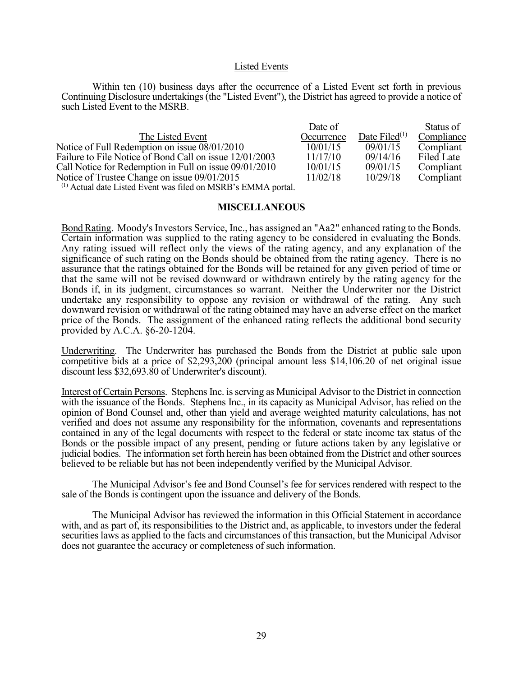#### Listed Events

 Within ten (10) business days after the occurrence of a Listed Event set forth in previous Continuing Disclosure undertakings (the "Listed Event"), the District has agreed to provide a notice of such Listed Event to the MSRB.

|                                                                                                                                                                                | Date of    |                  | Status of  |
|--------------------------------------------------------------------------------------------------------------------------------------------------------------------------------|------------|------------------|------------|
| The Listed Event                                                                                                                                                               | Occurrence | Date Filed $(1)$ | Compliance |
| Notice of Full Redemption on issue 08/01/2010                                                                                                                                  | 10/01/15   | 09/01/15         | Compliant  |
| Failure to File Notice of Bond Call on issue 12/01/2003                                                                                                                        | 11/17/10   | 09/14/16         | Filed Late |
| Call Notice for Redemption in Full on issue 09/01/2010                                                                                                                         | 10/01/15   | 09/01/15         | Compliant  |
| Notice of Trustee Change on issue 09/01/2015                                                                                                                                   | 11/02/18   | 10/29/18         | Compliant  |
| $\mathcal{L}(1)$ A straight $1 + \mathcal{L}(1)$ and $\mathcal{L}(2)$ are $\mathcal{L}(1)$ and $\mathcal{L}(2)$ and $\mathcal{L}(3)$ and $\mathcal{L}(4)$ are $\mathcal{L}(4)$ |            |                  |            |

 $<sup>(1)</sup>$  Actual date Listed Event was filed on MSRB's EMMA portal.</sup>

### **MISCELLANEOUS**

Bond Rating. Moody's Investors Service, Inc., has assigned an "Aa2" enhanced rating to the Bonds. Certain information was supplied to the rating agency to be considered in evaluating the Bonds. Any rating issued will reflect only the views of the rating agency, and any explanation of the significance of such rating on the Bonds should be obtained from the rating agency. There is no assurance that the ratings obtained for the Bonds will be retained for any given period of time or that the same will not be revised downward or withdrawn entirely by the rating agency for the Bonds if, in its judgment, circumstances so warrant. Neither the Underwriter nor the District undertake any responsibility to oppose any revision or withdrawal of the rating. Any such downward revision or withdrawal of the rating obtained may have an adverse effect on the market price of the Bonds. The assignment of the enhanced rating reflects the additional bond security provided by A.C.A.  $6-20-1204$ .

Underwriting. The Underwriter has purchased the Bonds from the District at public sale upon competitive bids at a price of \$2,293,200 (principal amount less \$14,106.20 of net original issue discount less \$32,693.80 of Underwriter's discount).

Interest of Certain Persons. Stephens Inc. is serving as Municipal Advisor to the District in connection with the issuance of the Bonds. Stephens Inc., in its capacity as Municipal Advisor, has relied on the opinion of Bond Counsel and, other than yield and average weighted maturity calculations, has not verified and does not assume any responsibility for the information, covenants and representations contained in any of the legal documents with respect to the federal or state income tax status of the Bonds or the possible impact of any present, pending or future actions taken by any legislative or judicial bodies. The information set forth herein has been obtained from the District and other sources believed to be reliable but has not been independently verified by the Municipal Advisor.

The Municipal Advisor's fee and Bond Counsel's fee for services rendered with respect to the sale of the Bonds is contingent upon the issuance and delivery of the Bonds.

The Municipal Advisor has reviewed the information in this Official Statement in accordance with, and as part of, its responsibilities to the District and, as applicable, to investors under the federal securities laws as applied to the facts and circumstances of this transaction, but the Municipal Advisor does not guarantee the accuracy or completeness of such information.